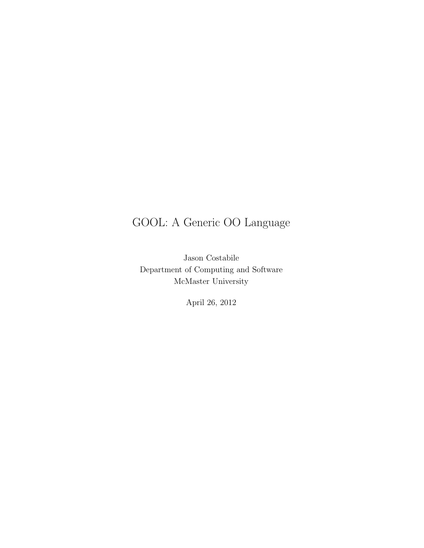## GOOL: A Generic OO Language

Jason Costabile Department of Computing and Software McMaster University

April 26, 2012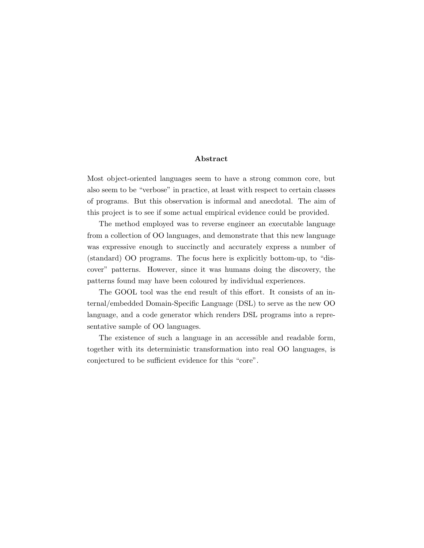#### Abstract

Most object-oriented languages seem to have a strong common core, but also seem to be "verbose" in practice, at least with respect to certain classes of programs. But this observation is informal and anecdotal. The aim of this project is to see if some actual empirical evidence could be provided.

The method employed was to reverse engineer an executable language from a collection of OO languages, and demonstrate that this new language was expressive enough to succinctly and accurately express a number of (standard) OO programs. The focus here is explicitly bottom-up, to "discover" patterns. However, since it was humans doing the discovery, the patterns found may have been coloured by individual experiences.

The GOOL tool was the end result of this effort. It consists of an internal/embedded Domain-Specific Language (DSL) to serve as the new OO language, and a code generator which renders DSL programs into a representative sample of OO languages.

The existence of such a language in an accessible and readable form, together with its deterministic transformation into real OO languages, is conjectured to be sufficient evidence for this "core".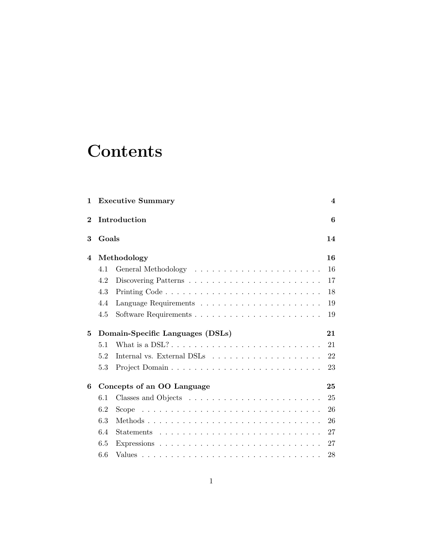## **Contents**

| $\mathbf{1}$   |       | <b>Executive Summary</b>                                                             | $\overline{\mathbf{4}}$ |
|----------------|-------|--------------------------------------------------------------------------------------|-------------------------|
| $\overline{2}$ |       | Introduction                                                                         | 6                       |
| 3              | Goals |                                                                                      | 14                      |
| 4              |       | Methodology                                                                          | 16                      |
|                | 4.1   |                                                                                      | 16                      |
|                | 4.2   | Discovering Patterns $\dots \dots \dots \dots \dots \dots \dots \dots \dots$         | 17                      |
|                | 4.3   |                                                                                      | 18                      |
|                | 4.4   |                                                                                      | 19                      |
|                | 4.5   |                                                                                      | 19                      |
| 5              |       | Domain-Specific Languages (DSLs)                                                     | 21                      |
|                | 5.1   |                                                                                      | 21                      |
|                | 5.2   | Internal vs. External DSLs $\dots \dots \dots \dots \dots \dots \dots$               | 22                      |
|                | 5.3   |                                                                                      | 23                      |
| 6              |       | Concepts of an OO Language                                                           | 25                      |
|                | 6.1   |                                                                                      | 25                      |
|                | 6.2   | Scope $\ldots \ldots \ldots \ldots \ldots \ldots \ldots \ldots \ldots \ldots \ldots$ | 26                      |
|                | 6.3   |                                                                                      | 26                      |
|                | 6.4   |                                                                                      | 27                      |
|                | 6.5   |                                                                                      | 27                      |
|                | 6.6   |                                                                                      | 28                      |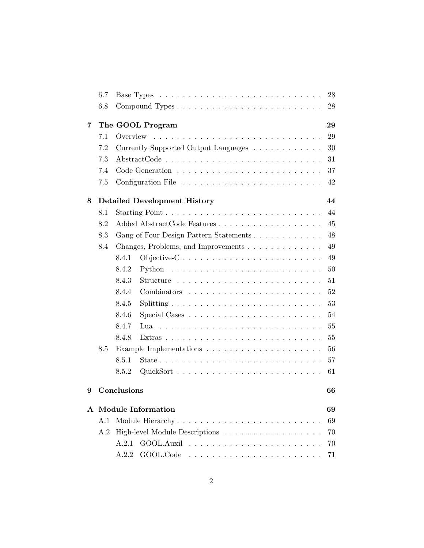|   | 6.7 |                                                                                                   |  |  |  |  | 28 |
|---|-----|---------------------------------------------------------------------------------------------------|--|--|--|--|----|
|   | 6.8 |                                                                                                   |  |  |  |  | 28 |
| 7 |     | The GOOL Program                                                                                  |  |  |  |  | 29 |
|   | 7.1 | والمتحاول والمتحاول والمتحاولة والمتحاولة والمتحاولة والمتحاولة والمتحاولة والمتحاولة<br>Overview |  |  |  |  | 29 |
|   | 7.2 | Currently Supported Output Languages $\hfill\ldots\ldots\ldots\ldots\ldots$                       |  |  |  |  | 30 |
|   | 7.3 |                                                                                                   |  |  |  |  | 31 |
|   | 7.4 |                                                                                                   |  |  |  |  | 37 |
|   | 7.5 |                                                                                                   |  |  |  |  | 42 |
| 8 |     | <b>Detailed Development History</b>                                                               |  |  |  |  | 44 |
|   | 8.1 |                                                                                                   |  |  |  |  | 44 |
|   | 8.2 | Added AbstractCode Features                                                                       |  |  |  |  | 45 |
|   | 8.3 | Gang of Four Design Pattern Statements                                                            |  |  |  |  | 48 |
|   | 8.4 | Changes, Problems, and Improvements                                                               |  |  |  |  | 49 |
|   |     | 8.4.1                                                                                             |  |  |  |  | 49 |
|   |     | 8.4.2                                                                                             |  |  |  |  | 50 |
|   |     | 8.4.3                                                                                             |  |  |  |  | 51 |
|   |     | 8.4.4                                                                                             |  |  |  |  | 52 |
|   |     | 8.4.5                                                                                             |  |  |  |  | 53 |
|   |     | 8.4.6                                                                                             |  |  |  |  | 54 |
|   |     | 8.4.7<br>Lua                                                                                      |  |  |  |  | 55 |
|   |     | 8.4.8                                                                                             |  |  |  |  | 55 |
|   | 8.5 |                                                                                                   |  |  |  |  | 56 |
|   |     | 8.5.1                                                                                             |  |  |  |  | 57 |
|   |     | 8.5.2                                                                                             |  |  |  |  | 61 |
| 9 |     | Conclusions                                                                                       |  |  |  |  | 66 |
|   |     | A Module Information                                                                              |  |  |  |  | 69 |
|   | A.1 |                                                                                                   |  |  |  |  | 69 |
|   | A.2 | High-level Module Descriptions                                                                    |  |  |  |  | 70 |
|   |     | A.2.1                                                                                             |  |  |  |  | 70 |
|   |     | GOOL.Code<br>A.2.2                                                                                |  |  |  |  | 71 |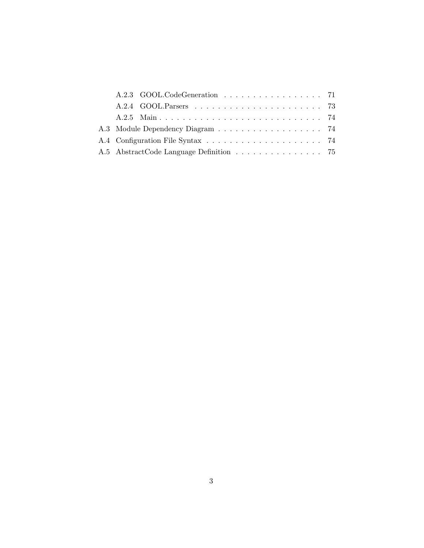|  | A.2.3 GOOL.CodeGeneration 71            |  |  |  |  |  |  |  |
|--|-----------------------------------------|--|--|--|--|--|--|--|
|  |                                         |  |  |  |  |  |  |  |
|  |                                         |  |  |  |  |  |  |  |
|  |                                         |  |  |  |  |  |  |  |
|  |                                         |  |  |  |  |  |  |  |
|  | A.5 AbstractCode Language Definition 75 |  |  |  |  |  |  |  |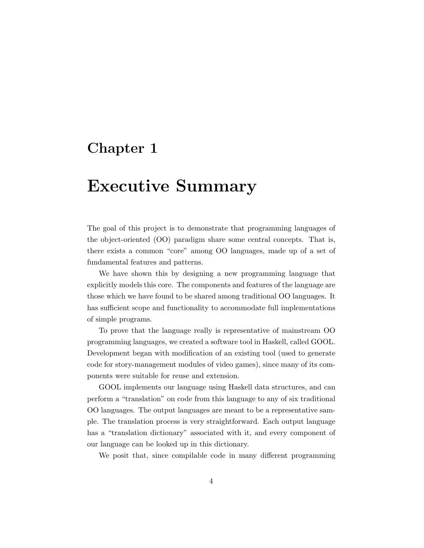## Executive Summary

The goal of this project is to demonstrate that programming languages of the object-oriented (OO) paradigm share some central concepts. That is, there exists a common "core" among OO languages, made up of a set of fundamental features and patterns.

We have shown this by designing a new programming language that explicitly models this core. The components and features of the language are those which we have found to be shared among traditional OO languages. It has sufficient scope and functionality to accommodate full implementations of simple programs.

To prove that the language really is representative of mainstream OO programming languages, we created a software tool in Haskell, called GOOL. Development began with modification of an existing tool (used to generate code for story-management modules of video games), since many of its components were suitable for reuse and extension.

GOOL implements our language using Haskell data structures, and can perform a "translation" on code from this language to any of six traditional OO languages. The output languages are meant to be a representative sample. The translation process is very straightforward. Each output language has a "translation dictionary" associated with it, and every component of our language can be looked up in this dictionary.

We posit that, since compilable code in many different programming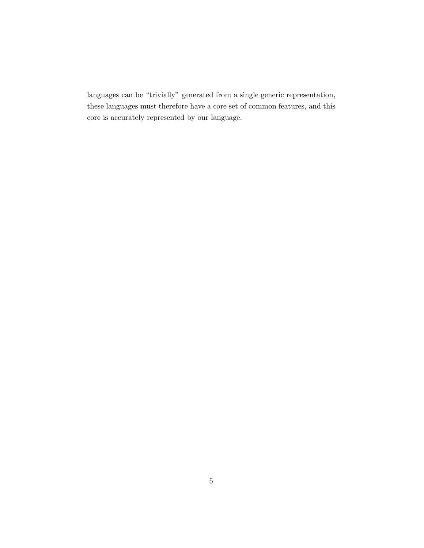languages can be "trivially" generated from a single generic representation, these languages must therefore have a core set of common features, and this core is accurately represented by our language.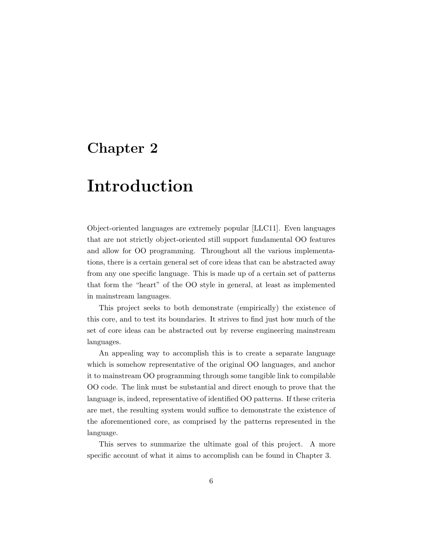## Introduction

Object-oriented languages are extremely popular [LLC11]. Even languages that are not strictly object-oriented still support fundamental OO features and allow for OO programming. Throughout all the various implementations, there is a certain general set of core ideas that can be abstracted away from any one specific language. This is made up of a certain set of patterns that form the "heart" of the OO style in general, at least as implemented in mainstream languages.

This project seeks to both demonstrate (empirically) the existence of this core, and to test its boundaries. It strives to find just how much of the set of core ideas can be abstracted out by reverse engineering mainstream languages.

An appealing way to accomplish this is to create a separate language which is somehow representative of the original OO languages, and anchor it to mainstream OO programming through some tangible link to compilable OO code. The link must be substantial and direct enough to prove that the language is, indeed, representative of identified OO patterns. If these criteria are met, the resulting system would suffice to demonstrate the existence of the aforementioned core, as comprised by the patterns represented in the language.

This serves to summarize the ultimate goal of this project. A more specific account of what it aims to accomplish can be found in Chapter 3.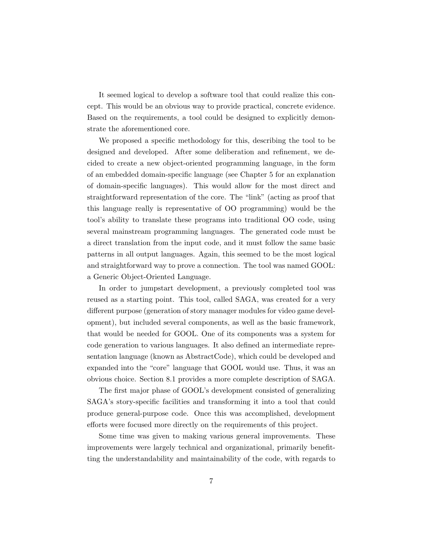It seemed logical to develop a software tool that could realize this concept. This would be an obvious way to provide practical, concrete evidence. Based on the requirements, a tool could be designed to explicitly demonstrate the aforementioned core.

We proposed a specific methodology for this, describing the tool to be designed and developed. After some deliberation and refinement, we decided to create a new object-oriented programming language, in the form of an embedded domain-specific language (see Chapter 5 for an explanation of domain-specific languages). This would allow for the most direct and straightforward representation of the core. The "link" (acting as proof that this language really is representative of OO programming) would be the tool's ability to translate these programs into traditional OO code, using several mainstream programming languages. The generated code must be a direct translation from the input code, and it must follow the same basic patterns in all output languages. Again, this seemed to be the most logical and straightforward way to prove a connection. The tool was named GOOL: a Generic Object-Oriented Language.

In order to jumpstart development, a previously completed tool was reused as a starting point. This tool, called SAGA, was created for a very different purpose (generation of story manager modules for video game development), but included several components, as well as the basic framework, that would be needed for GOOL. One of its components was a system for code generation to various languages. It also defined an intermediate representation language (known as AbstractCode), which could be developed and expanded into the "core" language that GOOL would use. Thus, it was an obvious choice. Section 8.1 provides a more complete description of SAGA.

The first major phase of GOOL's development consisted of generalizing SAGA's story-specific facilities and transforming it into a tool that could produce general-purpose code. Once this was accomplished, development efforts were focused more directly on the requirements of this project.

Some time was given to making various general improvements. These improvements were largely technical and organizational, primarily benefitting the understandability and maintainability of the code, with regards to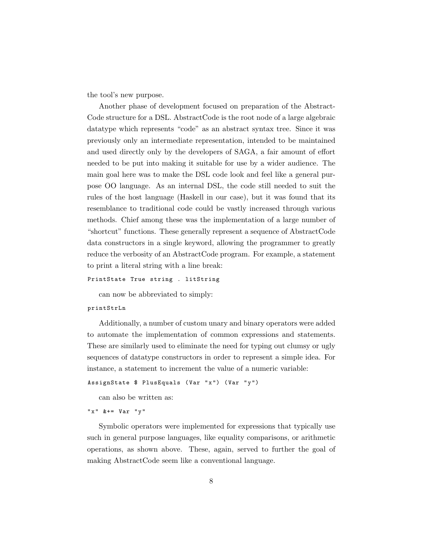the tool's new purpose.

Another phase of development focused on preparation of the Abstract-Code structure for a DSL. AbstractCode is the root node of a large algebraic datatype which represents "code" as an abstract syntax tree. Since it was previously only an intermediate representation, intended to be maintained and used directly only by the developers of SAGA, a fair amount of effort needed to be put into making it suitable for use by a wider audience. The main goal here was to make the DSL code look and feel like a general purpose OO language. As an internal DSL, the code still needed to suit the rules of the host language (Haskell in our case), but it was found that its resemblance to traditional code could be vastly increased through various methods. Chief among these was the implementation of a large number of "shortcut" functions. These generally represent a sequence of AbstractCode data constructors in a single keyword, allowing the programmer to greatly reduce the verbosity of an AbstractCode program. For example, a statement to print a literal string with a line break:

```
PrintState True string . litString
```
can now be abbreviated to simply:

#### printStrLn

Additionally, a number of custom unary and binary operators were added to automate the implementation of common expressions and statements. These are similarly used to eliminate the need for typing out clumsy or ugly sequences of datatype constructors in order to represent a simple idea. For instance, a statement to increment the value of a numeric variable:

```
AssignState $ PlusEquals (Var "x") (Var "y")
```
can also be written as:

"  $x$ "  $k ==$   $Var$  "  $v$ "

Symbolic operators were implemented for expressions that typically use such in general purpose languages, like equality comparisons, or arithmetic operations, as shown above. These, again, served to further the goal of making AbstractCode seem like a conventional language.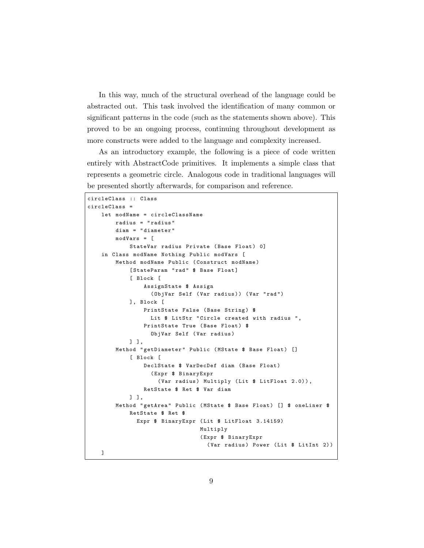In this way, much of the structural overhead of the language could be abstracted out. This task involved the identification of many common or significant patterns in the code (such as the statements shown above). This proved to be an ongoing process, continuing throughout development as more constructs were added to the language and complexity increased.

As an introductory example, the following is a piece of code written entirely with AbstractCode primitives. It implements a simple class that represents a geometric circle. Analogous code in traditional languages will be presented shortly afterwards, for comparison and reference.

```
circleClass :: Class
circleClass =
    let modName = circleClassName
        radius = " radius "
        diam = " diameter "
        modVars = [
            StateVar radius Private (Base Float) 0]
   in Class modName Nothing Public modVars [
        Method modName Public ( Construct modName )
            [StateParam "rad" $ Base Float]
            [ Block [
                AssignState $ Assign
                  ( ObjVar Self ( Var radius )) ( Var " rad ")
            ], Block [
                PrintState False (Base String) $
                  Lit $ LitStr "Circle created with radius ",
                PrintState True (Base Float) $
                   ObjVar Self ( Var radius )
            ] ],
        Method "getDiameter" Public (MState $ Base Float) []
            [ Block [
                DeclState $ VarDecDef diam ( Base Float )
                   ( Expr $ BinaryExpr
                    (Var radius) Multiply (Lit $ LitFloat 2.0)),
                RetState $ Ret $ Var diam
            ] ],
        Method "getArea" Public (MState $ Base Float) [] $ oneLiner $
            RetState $ Ret $
              Expr $ BinaryExpr (Lit $ LitFloat 3.14159)
                                 Multiply
                                 ( Expr $ BinaryExpr
                                   ( Var radius ) Power (Lit $ LitInt 2 ) )
    ]
```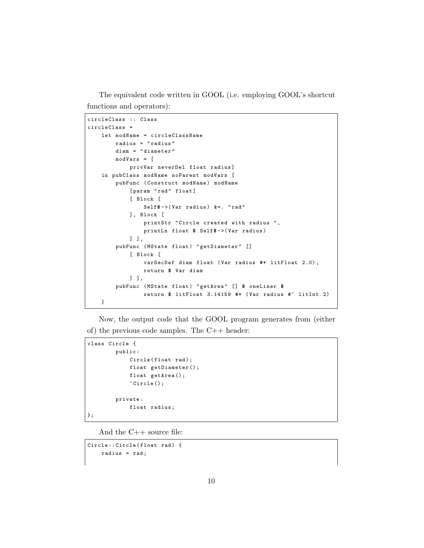The equivalent code written in GOOL (i.e. employing GOOL's shortcut functions and operators):

```
circleClass :: Class
circleClass =
    let modName = circleClassName
        radius = " radius "
        diam = " diameter "
        modVars = [
            privVar neverDel float radius ]
    in pubClass modName noParent modVars [
        pubFunc ( Construct modName ) modName
            [param "rad" float]
            [ Block [
                Self$ ->(Var radius) &=. "rad"
            ], Block [
                printStr "Circle created with radius ",
                printLn float $ Self$ -> (Var radius)
            ] ],
        pubFunc (MState float) "getDiameter" []
            [ Block [
                varDecDef diam float ( Var radius #* litFloat 2.0) ,
                return $ Var diam
            ] ],
        pubFunc (MState float) "getArea" [] $ oneLiner $
                return $ litFloat 3.14159 #* ( Var radius #^ litInt 2)
   ]
```
Now, the output code that the GOOL program generates from (either of) the previous code samples. The C++ header:

```
class Circle {
         public :
             Circle (float rad);
             float getDiameter () ;
             float getArea () ;
             ~ Circle () ;
         private :
             float radius ;
};
```
And the C++ source file:

```
Circle:: Circle (float rad) {
    radius = rad ;
```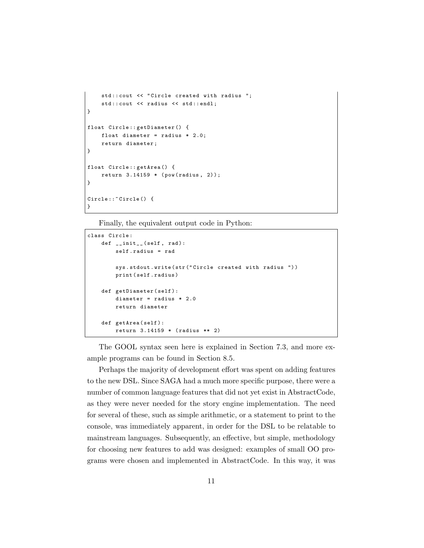```
std:: cout << "Circle created with radius ";
    std:: cout << radius << std:: endl;
}
float Circle :: getDiameter () {
    float diameter = radius * 2.0;
    return diameter ;
}
float Circle :: getArea () {
    return 3.14159 * (pow(radius, 2));
}
Circle ::~ Circle () {
}
```
Finally, the equivalent output code in Python:

```
class Circle :
    def __init__(self, rad):
        self . radius = rad
        sys.stdout.write(str("Circle created with radius "))
        print ( self . radius )
    def getDiameter(self):
        diameter = radius * 2.0return diameter
    def getArea(self):
        return 3.14159 * ( radius ** 2)
```
The GOOL syntax seen here is explained in Section 7.3, and more example programs can be found in Section 8.5.

Perhaps the majority of development effort was spent on adding features to the new DSL. Since SAGA had a much more specific purpose, there were a number of common language features that did not yet exist in AbstractCode, as they were never needed for the story engine implementation. The need for several of these, such as simple arithmetic, or a statement to print to the console, was immediately apparent, in order for the DSL to be relatable to mainstream languages. Subsequently, an effective, but simple, methodology for choosing new features to add was designed: examples of small OO programs were chosen and implemented in AbstractCode. In this way, it was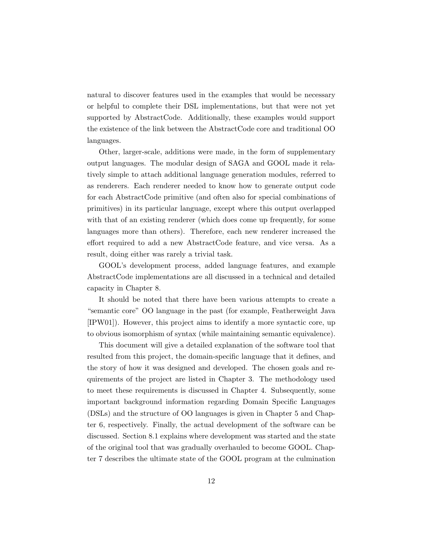natural to discover features used in the examples that would be necessary or helpful to complete their DSL implementations, but that were not yet supported by AbstractCode. Additionally, these examples would support the existence of the link between the AbstractCode core and traditional OO languages.

Other, larger-scale, additions were made, in the form of supplementary output languages. The modular design of SAGA and GOOL made it relatively simple to attach additional language generation modules, referred to as renderers. Each renderer needed to know how to generate output code for each AbstractCode primitive (and often also for special combinations of primitives) in its particular language, except where this output overlapped with that of an existing renderer (which does come up frequently, for some languages more than others). Therefore, each new renderer increased the effort required to add a new AbstractCode feature, and vice versa. As a result, doing either was rarely a trivial task.

GOOL's development process, added language features, and example AbstractCode implementations are all discussed in a technical and detailed capacity in Chapter 8.

It should be noted that there have been various attempts to create a "semantic core" OO language in the past (for example, Featherweight Java [IPW01]). However, this project aims to identify a more syntactic core, up to obvious isomorphism of syntax (while maintaining semantic equivalence).

This document will give a detailed explanation of the software tool that resulted from this project, the domain-specific language that it defines, and the story of how it was designed and developed. The chosen goals and requirements of the project are listed in Chapter 3. The methodology used to meet these requirements is discussed in Chapter 4. Subsequently, some important background information regarding Domain Specific Languages (DSLs) and the structure of OO languages is given in Chapter 5 and Chapter 6, respectively. Finally, the actual development of the software can be discussed. Section 8.1 explains where development was started and the state of the original tool that was gradually overhauled to become GOOL. Chapter 7 describes the ultimate state of the GOOL program at the culmination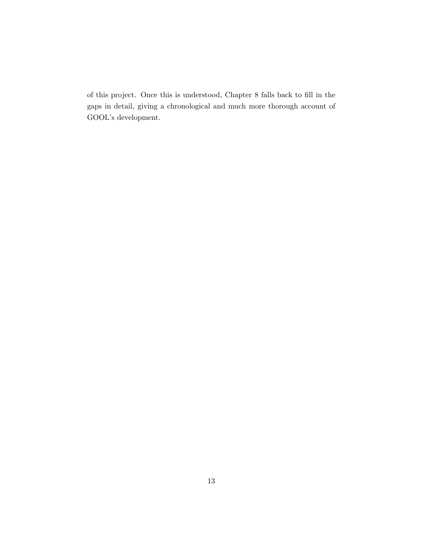of this project. Once this is understood, Chapter 8 falls back to fill in the gaps in detail, giving a chronological and much more thorough account of GOOL's development.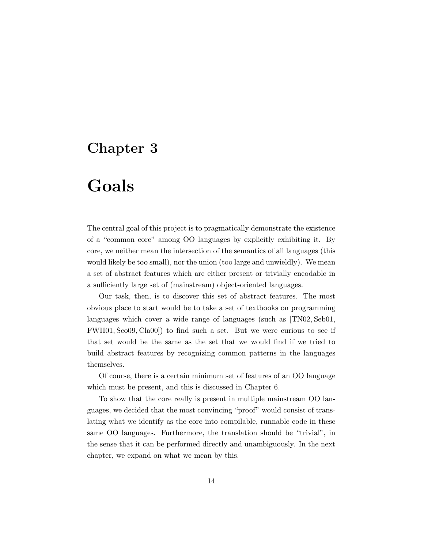## Goals

The central goal of this project is to pragmatically demonstrate the existence of a "common core" among OO languages by explicitly exhibiting it. By core, we neither mean the intersection of the semantics of all languages (this would likely be too small), nor the union (too large and unwieldly). We mean a set of abstract features which are either present or trivially encodable in a sufficiently large set of (mainstream) object-oriented languages.

Our task, then, is to discover this set of abstract features. The most obvious place to start would be to take a set of textbooks on programming languages which cover a wide range of languages (such as  $[TN02, Seb01,$ FWH01, Sco09, Cla00]) to find such a set. But we were curious to see if that set would be the same as the set that we would find if we tried to build abstract features by recognizing common patterns in the languages themselves.

Of course, there is a certain minimum set of features of an OO language which must be present, and this is discussed in Chapter 6.

To show that the core really is present in multiple mainstream OO languages, we decided that the most convincing "proof" would consist of translating what we identify as the core into compilable, runnable code in these same OO languages. Furthermore, the translation should be "trivial", in the sense that it can be performed directly and unambiguously. In the next chapter, we expand on what we mean by this.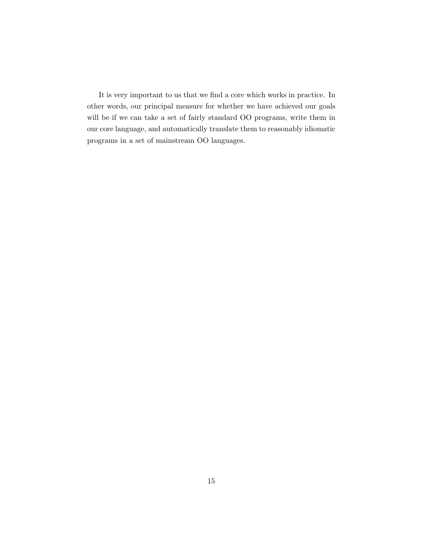It is very important to us that we find a core which works in practice. In other words, our principal measure for whether we have achieved our goals will be if we can take a set of fairly standard OO programs, write them in our core language, and automatically translate them to reasonably idiomatic programs in a set of mainstream OO languages.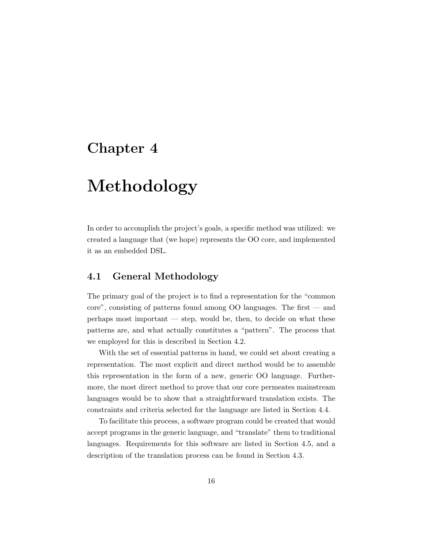## Methodology

In order to accomplish the project's goals, a specific method was utilized: we created a language that (we hope) represents the OO core, and implemented it as an embedded DSL.

#### 4.1 General Methodology

The primary goal of the project is to find a representation for the "common core", consisting of patterns found among OO languages. The first — and perhaps most important — step, would be, then, to decide on what these patterns are, and what actually constitutes a "pattern". The process that we employed for this is described in Section 4.2.

With the set of essential patterns in hand, we could set about creating a representation. The most explicit and direct method would be to assemble this representation in the form of a new, generic OO language. Furthermore, the most direct method to prove that our core permeates mainstream languages would be to show that a straightforward translation exists. The constraints and criteria selected for the language are listed in Section 4.4.

To facilitate this process, a software program could be created that would accept programs in the generic language, and "translate" them to traditional languages. Requirements for this software are listed in Section 4.5, and a description of the translation process can be found in Section 4.3.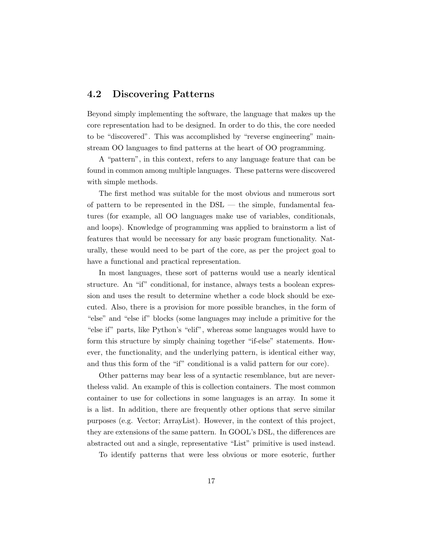#### 4.2 Discovering Patterns

Beyond simply implementing the software, the language that makes up the core representation had to be designed. In order to do this, the core needed to be "discovered". This was accomplished by "reverse engineering" mainstream OO languages to find patterns at the heart of OO programming.

A "pattern", in this context, refers to any language feature that can be found in common among multiple languages. These patterns were discovered with simple methods.

The first method was suitable for the most obvious and numerous sort of pattern to be represented in the  $DSL$  — the simple, fundamental features (for example, all OO languages make use of variables, conditionals, and loops). Knowledge of programming was applied to brainstorm a list of features that would be necessary for any basic program functionality. Naturally, these would need to be part of the core, as per the project goal to have a functional and practical representation.

In most languages, these sort of patterns would use a nearly identical structure. An "if" conditional, for instance, always tests a boolean expression and uses the result to determine whether a code block should be executed. Also, there is a provision for more possible branches, in the form of "else" and "else if" blocks (some languages may include a primitive for the "else if" parts, like Python's "elif", whereas some languages would have to form this structure by simply chaining together "if-else" statements. However, the functionality, and the underlying pattern, is identical either way, and thus this form of the "if" conditional is a valid pattern for our core).

Other patterns may bear less of a syntactic resemblance, but are nevertheless valid. An example of this is collection containers. The most common container to use for collections in some languages is an array. In some it is a list. In addition, there are frequently other options that serve similar purposes (e.g. Vector; ArrayList). However, in the context of this project, they are extensions of the same pattern. In GOOL's DSL, the differences are abstracted out and a single, representative "List" primitive is used instead.

To identify patterns that were less obvious or more esoteric, further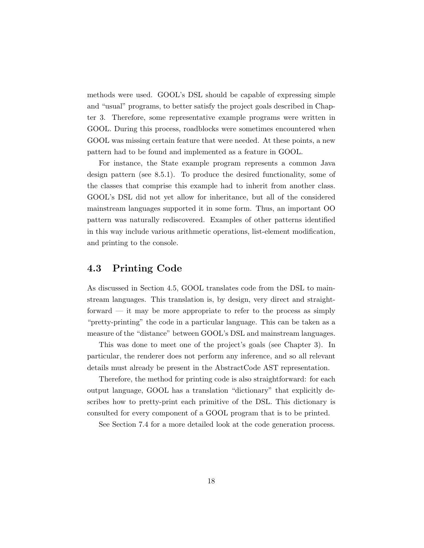methods were used. GOOL's DSL should be capable of expressing simple and "usual" programs, to better satisfy the project goals described in Chapter 3. Therefore, some representative example programs were written in GOOL. During this process, roadblocks were sometimes encountered when GOOL was missing certain feature that were needed. At these points, a new pattern had to be found and implemented as a feature in GOOL.

For instance, the State example program represents a common Java design pattern (see 8.5.1). To produce the desired functionality, some of the classes that comprise this example had to inherit from another class. GOOL's DSL did not yet allow for inheritance, but all of the considered mainstream languages supported it in some form. Thus, an important OO pattern was naturally rediscovered. Examples of other patterns identified in this way include various arithmetic operations, list-element modification, and printing to the console.

#### 4.3 Printing Code

As discussed in Section 4.5, GOOL translates code from the DSL to mainstream languages. This translation is, by design, very direct and straightforward — it may be more appropriate to refer to the process as simply "pretty-printing" the code in a particular language. This can be taken as a measure of the "distance" between GOOL's DSL and mainstream languages.

This was done to meet one of the project's goals (see Chapter 3). In particular, the renderer does not perform any inference, and so all relevant details must already be present in the AbstractCode AST representation.

Therefore, the method for printing code is also straightforward: for each output language, GOOL has a translation "dictionary" that explicitly describes how to pretty-print each primitive of the DSL. This dictionary is consulted for every component of a GOOL program that is to be printed.

See Section 7.4 for a more detailed look at the code generation process.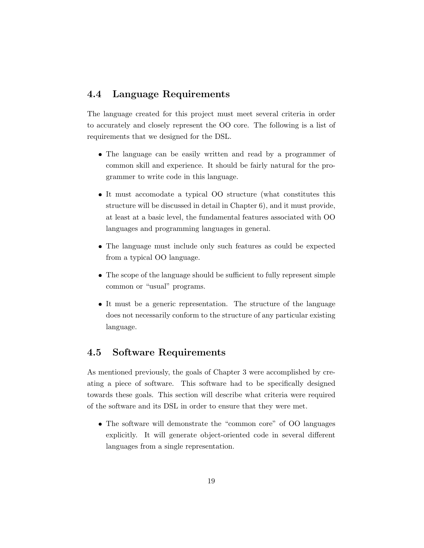#### 4.4 Language Requirements

The language created for this project must meet several criteria in order to accurately and closely represent the OO core. The following is a list of requirements that we designed for the DSL.

- The language can be easily written and read by a programmer of common skill and experience. It should be fairly natural for the programmer to write code in this language.
- It must accomodate a typical OO structure (what constitutes this structure will be discussed in detail in Chapter 6), and it must provide, at least at a basic level, the fundamental features associated with OO languages and programming languages in general.
- The language must include only such features as could be expected from a typical OO language.
- The scope of the language should be sufficient to fully represent simple common or "usual" programs.
- It must be a generic representation. The structure of the language does not necessarily conform to the structure of any particular existing language.

#### 4.5 Software Requirements

As mentioned previously, the goals of Chapter 3 were accomplished by creating a piece of software. This software had to be specifically designed towards these goals. This section will describe what criteria were required of the software and its DSL in order to ensure that they were met.

 The software will demonstrate the "common core" of OO languages explicitly. It will generate object-oriented code in several different languages from a single representation.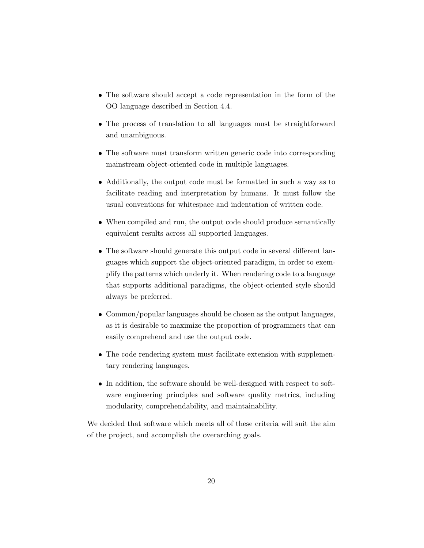- The software should accept a code representation in the form of the OO language described in Section 4.4.
- The process of translation to all languages must be straightforward and unambiguous.
- The software must transform written generic code into corresponding mainstream object-oriented code in multiple languages.
- Additionally, the output code must be formatted in such a way as to facilitate reading and interpretation by humans. It must follow the usual conventions for whitespace and indentation of written code.
- When compiled and run, the output code should produce semantically equivalent results across all supported languages.
- The software should generate this output code in several different languages which support the object-oriented paradigm, in order to exemplify the patterns which underly it. When rendering code to a language that supports additional paradigms, the object-oriented style should always be preferred.
- Common/popular languages should be chosen as the output languages, as it is desirable to maximize the proportion of programmers that can easily comprehend and use the output code.
- The code rendering system must facilitate extension with supplementary rendering languages.
- In addition, the software should be well-designed with respect to software engineering principles and software quality metrics, including modularity, comprehendability, and maintainability.

We decided that software which meets all of these criteria will suit the aim of the project, and accomplish the overarching goals.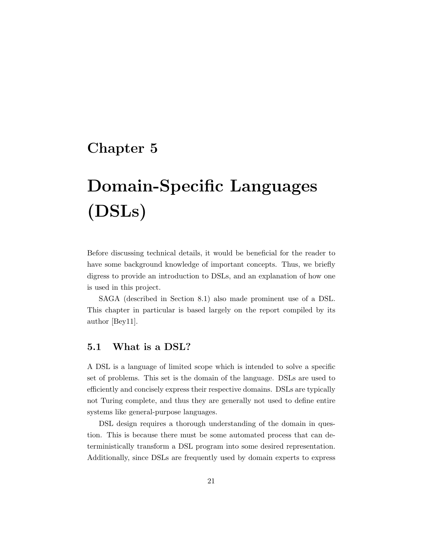# Domain-Specific Languages (DSLs)

Before discussing technical details, it would be beneficial for the reader to have some background knowledge of important concepts. Thus, we briefly digress to provide an introduction to DSLs, and an explanation of how one is used in this project.

SAGA (described in Section 8.1) also made prominent use of a DSL. This chapter in particular is based largely on the report compiled by its author [Bey11].

#### 5.1 What is a DSL?

A DSL is a language of limited scope which is intended to solve a specific set of problems. This set is the domain of the language. DSLs are used to efficiently and concisely express their respective domains. DSLs are typically not Turing complete, and thus they are generally not used to define entire systems like general-purpose languages.

DSL design requires a thorough understanding of the domain in question. This is because there must be some automated process that can deterministically transform a DSL program into some desired representation. Additionally, since DSLs are frequently used by domain experts to express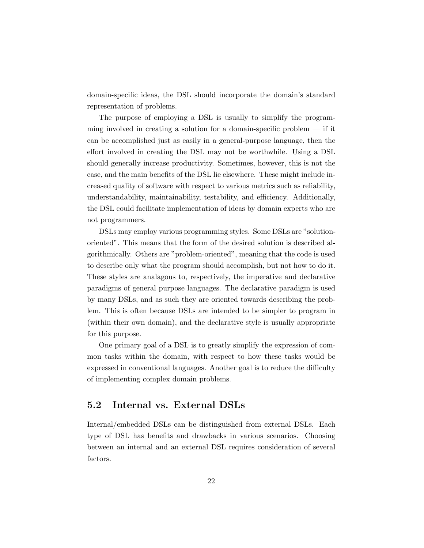domain-specific ideas, the DSL should incorporate the domain's standard representation of problems.

The purpose of employing a DSL is usually to simplify the programming involved in creating a solution for a domain-specific problem  $-$  if it can be accomplished just as easily in a general-purpose language, then the effort involved in creating the DSL may not be worthwhile. Using a DSL should generally increase productivity. Sometimes, however, this is not the case, and the main benefits of the DSL lie elsewhere. These might include increased quality of software with respect to various metrics such as reliability, understandability, maintainability, testability, and efficiency. Additionally, the DSL could facilitate implementation of ideas by domain experts who are not programmers.

DSLs may employ various programming styles. Some DSLs are "solutionoriented". This means that the form of the desired solution is described algorithmically. Others are "problem-oriented", meaning that the code is used to describe only what the program should accomplish, but not how to do it. These styles are analagous to, respectively, the imperative and declarative paradigms of general purpose languages. The declarative paradigm is used by many DSLs, and as such they are oriented towards describing the problem. This is often because DSLs are intended to be simpler to program in (within their own domain), and the declarative style is usually appropriate for this purpose.

One primary goal of a DSL is to greatly simplify the expression of common tasks within the domain, with respect to how these tasks would be expressed in conventional languages. Another goal is to reduce the difficulty of implementing complex domain problems.

#### 5.2 Internal vs. External DSLs

Internal/embedded DSLs can be distinguished from external DSLs. Each type of DSL has benefits and drawbacks in various scenarios. Choosing between an internal and an external DSL requires consideration of several factors.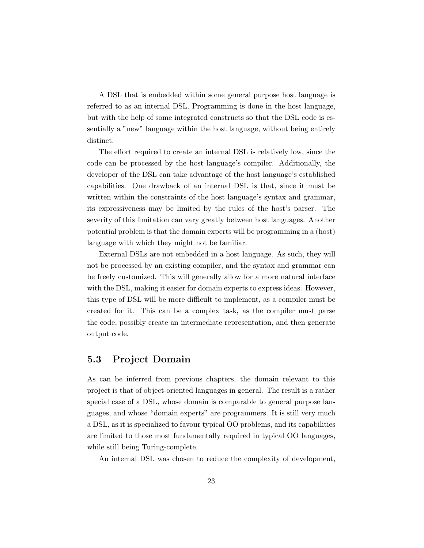A DSL that is embedded within some general purpose host language is referred to as an internal DSL. Programming is done in the host language, but with the help of some integrated constructs so that the DSL code is essentially a "new" language within the host language, without being entirely distinct.

The effort required to create an internal DSL is relatively low, since the code can be processed by the host language's compiler. Additionally, the developer of the DSL can take advantage of the host language's established capabilities. One drawback of an internal DSL is that, since it must be written within the constraints of the host language's syntax and grammar, its expressiveness may be limited by the rules of the host's parser. The severity of this limitation can vary greatly between host languages. Another potential problem is that the domain experts will be programming in a (host) language with which they might not be familiar.

External DSLs are not embedded in a host language. As such, they will not be processed by an existing compiler, and the syntax and grammar can be freely customized. This will generally allow for a more natural interface with the DSL, making it easier for domain experts to express ideas. However, this type of DSL will be more difficult to implement, as a compiler must be created for it. This can be a complex task, as the compiler must parse the code, possibly create an intermediate representation, and then generate output code.

#### 5.3 Project Domain

As can be inferred from previous chapters, the domain relevant to this project is that of object-oriented languages in general. The result is a rather special case of a DSL, whose domain is comparable to general purpose languages, and whose "domain experts" are programmers. It is still very much a DSL, as it is specialized to favour typical OO problems, and its capabilities are limited to those most fundamentally required in typical OO languages, while still being Turing-complete.

An internal DSL was chosen to reduce the complexity of development,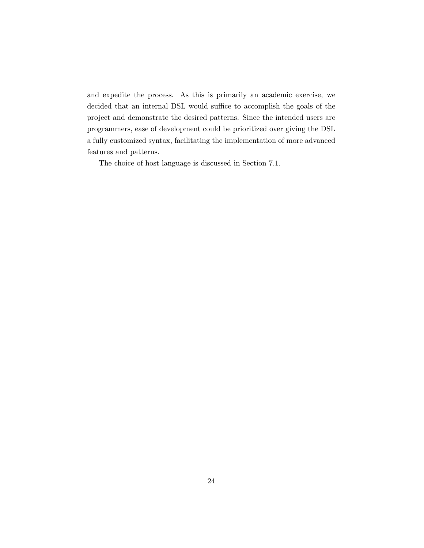and expedite the process. As this is primarily an academic exercise, we decided that an internal DSL would suffice to accomplish the goals of the project and demonstrate the desired patterns. Since the intended users are programmers, ease of development could be prioritized over giving the DSL a fully customized syntax, facilitating the implementation of more advanced features and patterns.

The choice of host language is discussed in Section 7.1.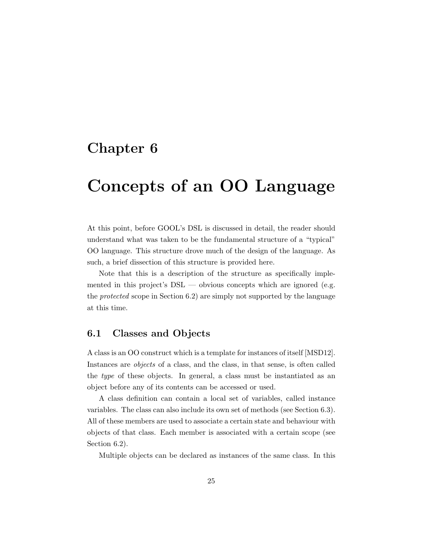## Concepts of an OO Language

At this point, before GOOL's DSL is discussed in detail, the reader should understand what was taken to be the fundamental structure of a "typical" OO language. This structure drove much of the design of the language. As such, a brief dissection of this structure is provided here.

Note that this is a description of the structure as specifically implemented in this project's  $DSL$  — obvious concepts which are ignored (e.g. the protected scope in Section 6.2) are simply not supported by the language at this time.

#### 6.1 Classes and Objects

A class is an OO construct which is a template for instances of itself [MSD12]. Instances are objects of a class, and the class, in that sense, is often called the type of these objects. In general, a class must be instantiated as an object before any of its contents can be accessed or used.

A class definition can contain a local set of variables, called instance variables. The class can also include its own set of methods (see Section 6.3). All of these members are used to associate a certain state and behaviour with objects of that class. Each member is associated with a certain scope (see Section 6.2).

Multiple objects can be declared as instances of the same class. In this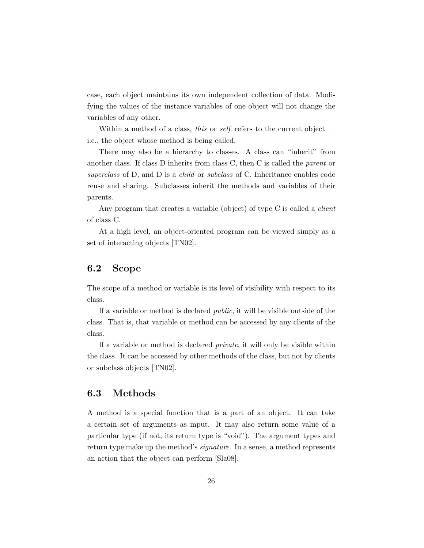case, each object maintains its own independent collection of data. Modifying the values of the instance variables of one object will not change the variables of any other.

Within a method of a class, this or self refers to the current object  $$ i.e., the object whose method is being called.

There may also be a hierarchy to classes. A class can "inherit" from another class. If class D inherits from class C, then C is called the parent or superclass of D, and D is a *child* or *subclass* of C. Inheritance enables code reuse and sharing. Subclasses inherit the methods and variables of their parents.

Any program that creates a variable (object) of type C is called a *client* of class C.

At a high level, an object-oriented program can be viewed simply as a set of interacting objects [TN02].

#### 6.2 Scope

The scope of a method or variable is its level of visibility with respect to its class.

If a variable or method is declared public, it will be visible outside of the class. That is, that variable or method can be accessed by any clients of the class.

If a variable or method is declared private, it will only be visible within the class. It can be accessed by other methods of the class, but not by clients or subclass objects [TN02].

#### 6.3 Methods

A method is a special function that is a part of an object. It can take a certain set of arguments as input. It may also return some value of a particular type (if not, its return type is "void"). The argument types and return type make up the method's *signature*. In a sense, a method represents an action that the object can perform [Sla08].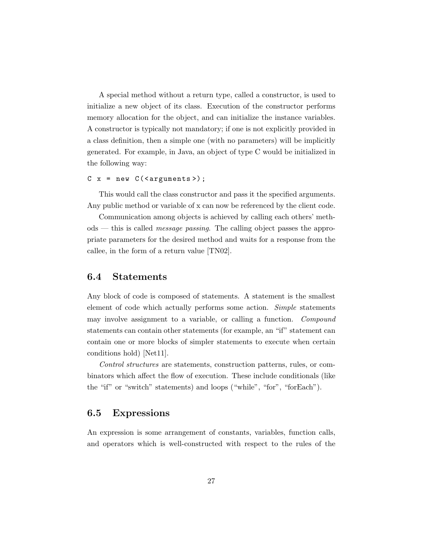A special method without a return type, called a constructor, is used to initialize a new object of its class. Execution of the constructor performs memory allocation for the object, and can initialize the instance variables. A constructor is typically not mandatory; if one is not explicitly provided in a class definition, then a simple one (with no parameters) will be implicitly generated. For example, in Java, an object of type C would be initialized in the following way:

#### $C x = new C(arguments$ );

This would call the class constructor and pass it the specified arguments. Any public method or variable of x can now be referenced by the client code.

Communication among objects is achieved by calling each others' methods — this is called message passing. The calling object passes the appropriate parameters for the desired method and waits for a response from the callee, in the form of a return value [TN02].

#### 6.4 Statements

Any block of code is composed of statements. A statement is the smallest element of code which actually performs some action. Simple statements may involve assignment to a variable, or calling a function. Compound statements can contain other statements (for example, an "if" statement can contain one or more blocks of simpler statements to execute when certain conditions hold) [Net11].

Control structures are statements, construction patterns, rules, or combinators which affect the flow of execution. These include conditionals (like the "if" or "switch" statements) and loops ("while", "for", "forEach").

#### 6.5 Expressions

An expression is some arrangement of constants, variables, function calls, and operators which is well-constructed with respect to the rules of the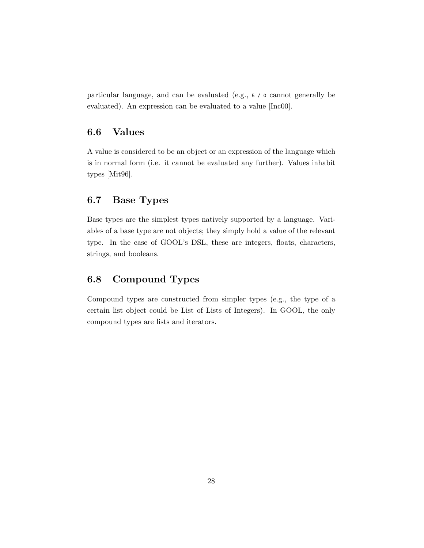particular language, and can be evaluated (e.g., 5 / 0 cannot generally be evaluated). An expression can be evaluated to a value [Inc00].

#### 6.6 Values

A value is considered to be an object or an expression of the language which is in normal form (i.e. it cannot be evaluated any further). Values inhabit types [Mit96].

#### 6.7 Base Types

Base types are the simplest types natively supported by a language. Variables of a base type are not objects; they simply hold a value of the relevant type. In the case of GOOL's DSL, these are integers, floats, characters, strings, and booleans.

#### 6.8 Compound Types

Compound types are constructed from simpler types (e.g., the type of a certain list object could be List of Lists of Integers). In GOOL, the only compound types are lists and iterators.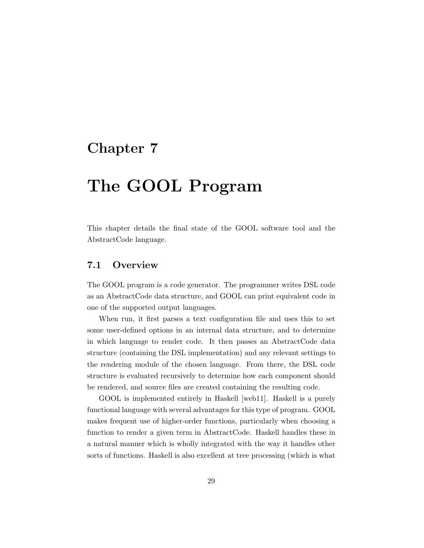## The GOOL Program

This chapter details the final state of the GOOL software tool and the AbstractCode language.

#### 7.1 Overview

The GOOL program is a code generator. The programmer writes DSL code as an AbstractCode data structure, and GOOL can print equivalent code in one of the supported output languages.

When run, it first parses a text configuration file and uses this to set some user-defined options in an internal data structure, and to determine in which language to render code. It then passes an AbstractCode data structure (containing the DSL implementation) and any relevant settings to the rendering module of the chosen language. From there, the DSL code structure is evaluated recursively to determine how each component should be rendered, and source files are created containing the resulting code.

GOOL is implemented entirely in Haskell [web11]. Haskell is a purely functional language with several advantages for this type of program. GOOL makes frequent use of higher-order functions, particularly when choosing a function to render a given term in AbstractCode. Haskell handles these in a natural manner which is wholly integrated with the way it handles other sorts of functions. Haskell is also excellent at tree processing (which is what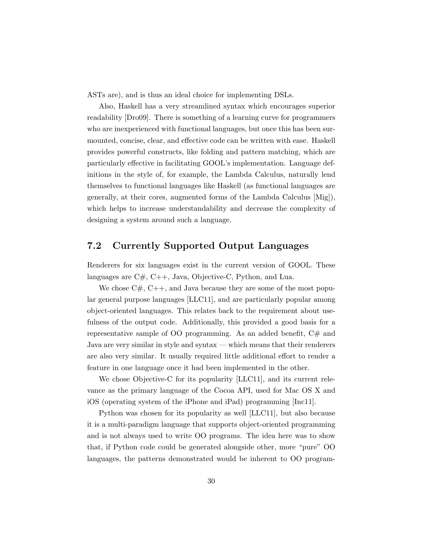ASTs are), and is thus an ideal choice for implementing DSLs.

Also, Haskell has a very streamlined syntax which encourages superior readability [Dro09]. There is something of a learning curve for programmers who are inexperienced with functional languages, but once this has been surmounted, concise, clear, and effective code can be written with ease. Haskell provides powerful constructs, like folding and pattern matching, which are particularly effective in facilitating GOOL's implementation. Language definitions in the style of, for example, the Lambda Calculus, naturally lend themselves to functional languages like Haskell (as functional languages are generally, at their cores, augmented forms of the Lambda Calculus [Mig]), which helps to increase understandability and decrease the complexity of designing a system around such a language.

#### 7.2 Currently Supported Output Languages

Renderers for six languages exist in the current version of GOOL. These languages are C#, C++, Java, Objective-C, Python, and Lua.

We chose  $C\#$ ,  $C++$ , and Java because they are some of the most popular general purpose languages [LLC11], and are particularly popular among object-oriented languages. This relates back to the requirement about usefulness of the output code. Additionally, this provided a good basis for a representative sample of OO programming. As an added benefit,  $C#$  and Java are very similar in style and syntax — which means that their renderers are also very similar. It usually required little additional effort to render a feature in one language once it had been implemented in the other.

We chose Objective-C for its popularity [LLC11], and its current relevance as the primary language of the Cocoa API, used for Mac OS X and iOS (operating system of the iPhone and iPad) programming [Inc11].

Python was chosen for its popularity as well [LLC11], but also because it is a multi-paradigm language that supports object-oriented programming and is not always used to write OO programs. The idea here was to show that, if Python code could be generated alongside other, more "pure" OO languages, the patterns demonstrated would be inherent to OO program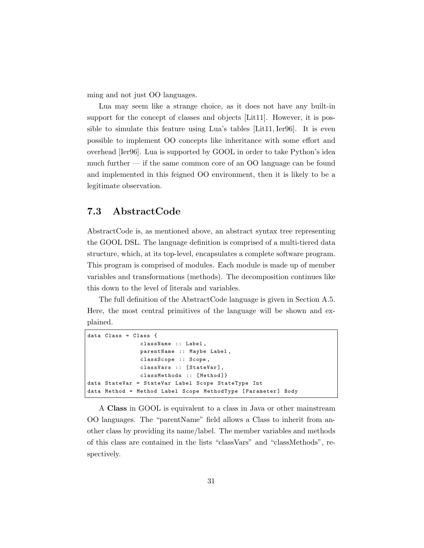ming and not just OO languages.

Lua may seem like a strange choice, as it does not have any built-in support for the concept of classes and objects [Lit11]. However, it is possible to simulate this feature using Lua's tables [Lit11, Ier96]. It is even possible to implement OO concepts like inheritance with some effort and overhead [Ier96]. Lua is supported by GOOL in order to take Python's idea much further — if the same common core of an OO language can be found and implemented in this feigned OO environment, then it is likely to be a legitimate observation.

#### 7.3 AbstractCode

AbstractCode is, as mentioned above, an abstract syntax tree representing the GOOL DSL. The language definition is comprised of a multi-tiered data structure, which, at its top-level, encapsulates a complete software program. This program is comprised of modules. Each module is made up of member variables and transformations (methods). The decomposition continues like this down to the level of literals and variables.

The full definition of the AbstractCode language is given in Section A.5. Here, the most central primitives of the language will be shown and explained.

```
data Class = Class {
               className :: Label ,
               parentName :: Maybe Label ,
               classScope :: Scope ,
               classVars :: [StateVar],
               classMethods :: [Method]}
data StateVar = StateVar Label Scope StateType Int
data Method = Method Label Scope MethodType [Parameter] Body
```
A Class in GOOL is equivalent to a class in Java or other mainstream OO languages. The "parentName" field allows a Class to inherit from another class by providing its name/label. The member variables and methods of this class are contained in the lists "classVars" and "classMethods", respectively.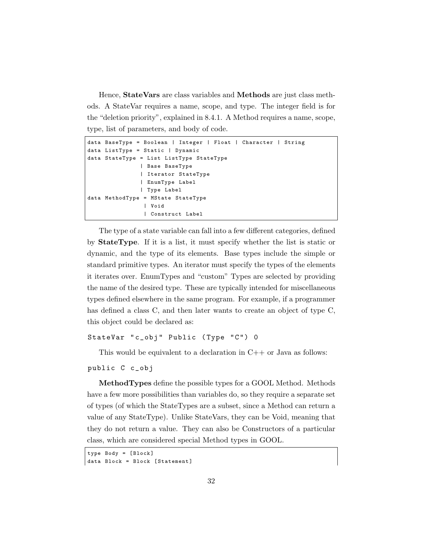Hence, StateVars are class variables and Methods are just class methods. A StateVar requires a name, scope, and type. The integer field is for the "deletion priority", explained in 8.4.1. A Method requires a name, scope, type, list of parameters, and body of code.

```
data BaseType = Boolean | Integer | Float | Character | String
data ListType = Static | Dynamic
data StateType = List ListType StateType
               | Base BaseType
               | Iterator StateType
               | EnumType Label
               | Type Label
data MethodType = MState StateType
                | Void
                | Construct Label
```
The type of a state variable can fall into a few different categories, defined by StateType. If it is a list, it must specify whether the list is static or dynamic, and the type of its elements. Base types include the simple or standard primitive types. An iterator must specify the types of the elements it iterates over. EnumTypes and "custom" Types are selected by providing the name of the desired type. These are typically intended for miscellaneous types defined elsewhere in the same program. For example, if a programmer has defined a class C, and then later wants to create an object of type C, this object could be declared as:

```
StateVar " c_obj" Public (Type "C") 0
```
This would be equivalent to a declaration in  $C++$  or Java as follows:

```
public C c_obj
```
MethodTypes define the possible types for a GOOL Method. Methods have a few more possibilities than variables do, so they require a separate set of types (of which the StateTypes are a subset, since a Method can return a value of any StateType). Unlike StateVars, they can be Void, meaning that they do not return a value. They can also be Constructors of a particular class, which are considered special Method types in GOOL.

```
type Body = [ Block ]
data Block = Block [Statement]
```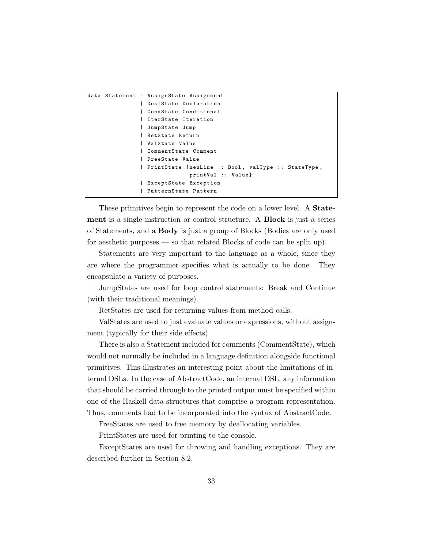```
data Statement = AssignState Assignment
               | DeclState Declaration
               | CondState Conditional
               | IterState Iteration
               | JumpState Jump
               | RetState Return
               | ValState Value
               | CommentState Comment
               | FreeState Value
               | PrintState { newLine :: Bool , valType :: StateType ,
                              printVal :: Value }
               | ExceptState Exception
               | PatternState Pattern
```
These primitives begin to represent the code on a lower level. A **State**ment is a single instruction or control structure. A Block is just a series of Statements, and a Body is just a group of Blocks (Bodies are only used for aesthetic purposes — so that related Blocks of code can be split up).

Statements are very important to the language as a whole, since they are where the programmer specifies what is actually to be done. They encapsulate a variety of purposes.

JumpStates are used for loop control statements: Break and Continue (with their traditional meanings).

RetStates are used for returning values from method calls.

ValStates are used to just evaluate values or expressions, without assignment (typically for their side effects).

There is also a Statement included for comments (CommentState), which would not normally be included in a language definition alongside functional primitives. This illustrates an interesting point about the limitations of internal DSLs. In the case of AbstractCode, an internal DSL, any information that should be carried through to the printed output must be specified within one of the Haskell data structures that comprise a program representation. Thus, comments had to be incorporated into the syntax of AbstractCode.

FreeStates are used to free memory by deallocating variables.

PrintStates are used for printing to the console.

ExceptStates are used for throwing and handling exceptions. They are described further in Section 8.2.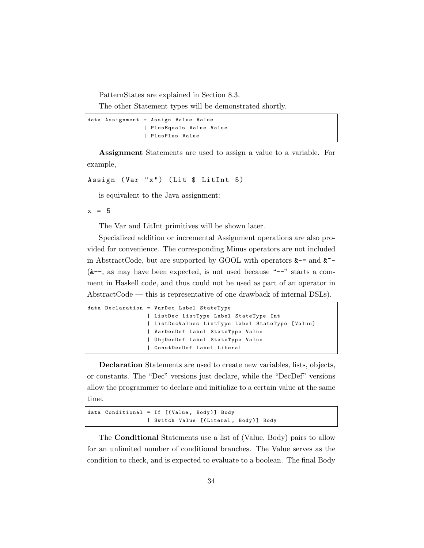PatternStates are explained in Section 8.3.

The other Statement types will be demonstrated shortly.

```
data Assignment = Assign Value Value
                | PlusEquals Value Value
                | PlusPlus Value
```
Assignment Statements are used to assign a value to a variable. For example,

```
Assign (Var "x") (Lit $ LitInt 5)
```
is equivalent to the Java assignment:

 $x = 5$ 

The Var and LitInt primitives will be shown later.

Specialized addition or incremental Assignment operations are also provided for convenience. The corresponding Minus operators are not included in AbstractCode, but are supported by GOOL with operators  $\&$  -= and  $\&$  $(\&-$ , as may have been expected, is not used because "--" starts a comment in Haskell code, and thus could not be used as part of an operator in AbstractCode — this is representative of one drawback of internal DSLs).

```
data Declaration = VarDec Label StateType
                 | ListDec ListType Label StateType Int
                 | ListDecValues ListType Label StateType [ Value ]
                 | VarDecDef Label StateType Value
                 | ObjDecDef Label StateType Value
                 | ConstDecDef Label Literal
```
Declaration Statements are used to create new variables, lists, objects, or constants. The "Dec" versions just declare, while the "DecDef" versions allow the programmer to declare and initialize to a certain value at the same time.

```
data Conditional = If [( Value , Body )] Body
                  | Switch Value [( Literal , Body )] Body
```
The Conditional Statements use a list of (Value, Body) pairs to allow for an unlimited number of conditional branches. The Value serves as the condition to check, and is expected to evaluate to a boolean. The final Body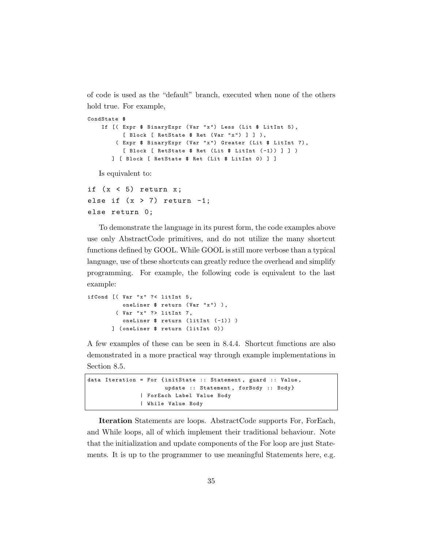of code is used as the "default" branch, executed when none of the others hold true. For example,

```
CondState $
    If [( Expr $ BinaryExpr ( Var "x ") Less ( Lit $ LitInt 5) ,
          [ Block [ RetState $ Ret (Var "x") ] ] ),
        ( Expr $ BinaryExpr ( Var "x ") Greater ( Lit $ LitInt 7) ,
          [ Block [ RetState $ Ret (Lit $ LitInt (-1)) ] ] )
       ] [ Block [ RetState $ Ret ( Lit $ LitInt 0) ] ]
   Is equivalent to:
```

```
if (x < 5) return x;
else if (x > 7) return -1;
else return 0;
```
To demonstrate the language in its purest form, the code examples above use only AbstractCode primitives, and do not utilize the many shortcut functions defined by GOOL. While GOOL is still more verbose than a typical language, use of these shortcuts can greatly reduce the overhead and simplify programming. For example, the following code is equivalent to the last example:

```
ifCond [( Var "x" ?< litInt 5,
          oneLiner $ return (Var "x") ),
        ( Var "x" ?> litInt 7,
          oneLiner $ return (litInt (-1)) )
       ] ( oneLiner $ return ( litInt 0) )
```
A few examples of these can be seen in 8.4.4. Shortcut functions are also demonstrated in a more practical way through example implementations in Section 8.5.

```
data Iteration = For {initState :: Statement, guard :: Value,
                      update :: Statement, forBody :: Body}
               | ForEach Label Value Body
               | While Value Body
```
Iteration Statements are loops. AbstractCode supports For, ForEach, and While loops, all of which implement their traditional behaviour. Note that the initialization and update components of the For loop are just Statements. It is up to the programmer to use meaningful Statements here, e.g.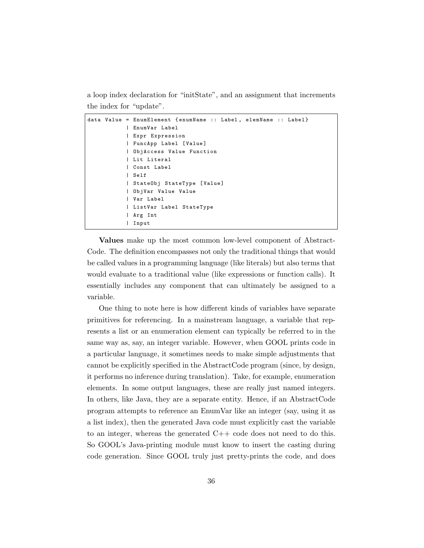a loop index declaration for "initState", and an assignment that increments the index for "update".

```
data Value = EnumElement { enumName :: Label , elemName :: Label }
           | EnumVar Label
           | Expr Expression
           | FuncApp Label [ Value ]
           | ObjAccess Value Function
           | Lit Literal
           | Const Label
           | Self
           | StateObj StateType [ Value ]
           | ObjVar Value Value
           | Var Label
           | ListVar Label StateType
           | Arg Int
           | Input
```
Values make up the most common low-level component of Abstract-Code. The definition encompasses not only the traditional things that would be called values in a programming language (like literals) but also terms that would evaluate to a traditional value (like expressions or function calls). It essentially includes any component that can ultimately be assigned to a variable.

One thing to note here is how different kinds of variables have separate primitives for referencing. In a mainstream language, a variable that represents a list or an enumeration element can typically be referred to in the same way as, say, an integer variable. However, when GOOL prints code in a particular language, it sometimes needs to make simple adjustments that cannot be explicitly specified in the AbstractCode program (since, by design, it performs no inference during translation). Take, for example, enumeration elements. In some output languages, these are really just named integers. In others, like Java, they are a separate entity. Hence, if an AbstractCode program attempts to reference an EnumVar like an integer (say, using it as a list index), then the generated Java code must explicitly cast the variable to an integer, whereas the generated  $C++$  code does not need to do this. So GOOL's Java-printing module must know to insert the casting during code generation. Since GOOL truly just pretty-prints the code, and does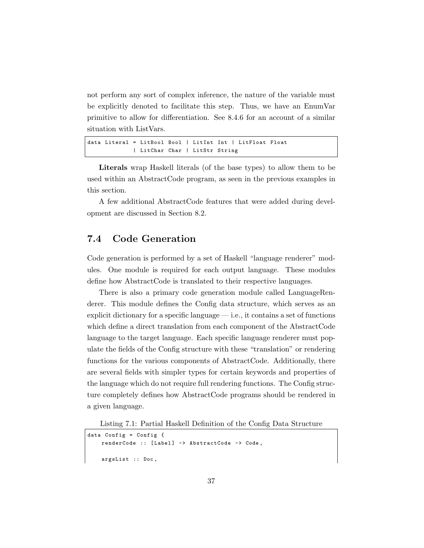not perform any sort of complex inference, the nature of the variable must be explicitly denoted to facilitate this step. Thus, we have an EnumVar primitive to allow for differentiation. See 8.4.6 for an account of a similar situation with ListVars.

```
data Literal = LitBool Bool | LitInt Int | LitFloat Float
             | LitChar Char | LitStr String
```
Literals wrap Haskell literals (of the base types) to allow them to be used within an AbstractCode program, as seen in the previous examples in this section.

A few additional AbstractCode features that were added during development are discussed in Section 8.2.

## 7.4 Code Generation

Code generation is performed by a set of Haskell "language renderer" modules. One module is required for each output language. These modules define how AbstractCode is translated to their respective languages.

There is also a primary code generation module called LanguageRenderer. This module defines the Config data structure, which serves as an explicit dictionary for a specific language  $-$  i.e., it contains a set of functions which define a direct translation from each component of the AbstractCode language to the target language. Each specific language renderer must populate the fields of the Config structure with these "translation" or rendering functions for the various components of AbstractCode. Additionally, there are several fields with simpler types for certain keywords and properties of the language which do not require full rendering functions. The Config structure completely defines how AbstractCode programs should be rendered in a given language.

Listing 7.1: Partial Haskell Definition of the Config Data Structure

```
data Config = Config {
    renderCode :: [Label] -> AbstractCode -> Code,
    argsList :: Doc ,
```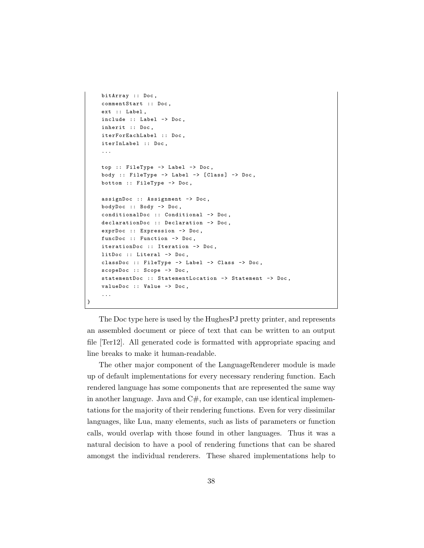```
bitArray :: Doc ,
commentStart :: Doc ,
ext :: Label,
include :: Label -> Doc,
inherit :: Doc ,
iterForEachLabel :: Doc ,
iterInLabel :: Doc ,
...
top :: FileType -> Label -> Doc ,
body :: FileType -> Label -> [Class] -> Doc,
bottom :: FileType -> Doc ,
assignDoc :: Assignment -> Doc ,
bodyDoc :: Body -> Doc ,
conditionalDoc :: Conditional -> Doc ,
declarationDoc :: Declaration -> Doc ,
exprDoc :: Expression -> Doc ,
funcDoc :: Function -> Doc ,
iterationDoc :: Iteration -> Doc ,
litDoc :: Literal -> Doc ,
classDoc :: FileType -> Label -> Class -> Doc ,
scopeDoc :: Scope -> Doc,
statementDoc :: StatementLocation -> Statement -> Doc,
valueDoc :: Value -> Doc,
...
```
}

The Doc type here is used by the HughesPJ pretty printer, and represents an assembled document or piece of text that can be written to an output file [Ter12]. All generated code is formatted with appropriate spacing and line breaks to make it human-readable.

The other major component of the LanguageRenderer module is made up of default implementations for every necessary rendering function. Each rendered language has some components that are represented the same way in another language. Java and  $C#$ , for example, can use identical implementations for the majority of their rendering functions. Even for very dissimilar languages, like Lua, many elements, such as lists of parameters or function calls, would overlap with those found in other languages. Thus it was a natural decision to have a pool of rendering functions that can be shared amongst the individual renderers. These shared implementations help to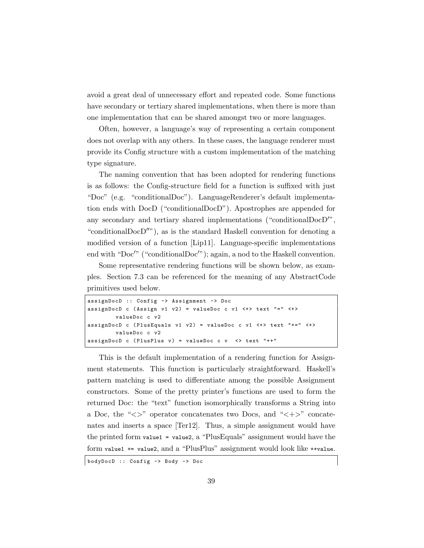avoid a great deal of unnecessary effort and repeated code. Some functions have secondary or tertiary shared implementations, when there is more than one implementation that can be shared amongst two or more languages.

Often, however, a language's way of representing a certain component does not overlap with any others. In these cases, the language renderer must provide its Config structure with a custom implementation of the matching type signature.

The naming convention that has been adopted for rendering functions is as follows: the Config-structure field for a function is suffixed with just "Doc" (e.g. "conditionalDoc"). LanguageRenderer's default implementation ends with DocD ("conditionalDocD"). Apostrophes are appended for any secondary and tertiary shared implementations ("conditional $\text{Doc}D''$ ", "conditional $\text{Doc}D''$ "), as is the standard Haskell convention for denoting a modified version of a function [Lip11]. Language-specific implementations end with "Doc'" ("conditional $Doc''$ ); again, a nod to the Haskell convention.

Some representative rendering functions will be shown below, as examples. Section 7.3 can be referenced for the meaning of any AbstractCode primitives used below.

```
assignDocD :: Config -> Assignment -> Doc
assignDocD c (Assign v1 v2) = valueDoc c v1 \leftrightarrow text "=" \leftrightarrowvalueDoc c v2
assignDocD c (PlusEquals v1 v2) = valueDoc c v1 <+> text "+=" <+>
        valueDoc c v2
assignDocD c (PlusPlus v) = valueDoc c v \le v text "++"
```
This is the default implementation of a rendering function for Assignment statements. This function is particularly straightforward. Haskell's pattern matching is used to differentiate among the possible Assignment constructors. Some of the pretty printer's functions are used to form the returned Doc: the "text" function isomorphically transforms a String into a Doc, the " $\langle \rangle$ " operator concatenates two Docs, and " $\langle + \rangle$ " concatenates and inserts a space [Ter12]. Thus, a simple assignment would have the printed form value1 = value2, a "PlusEquals" assignment would have the form value1 += value2, and a "PlusPlus" assignment would look like ++value.

bodyDocD :: Config -> Body -> Doc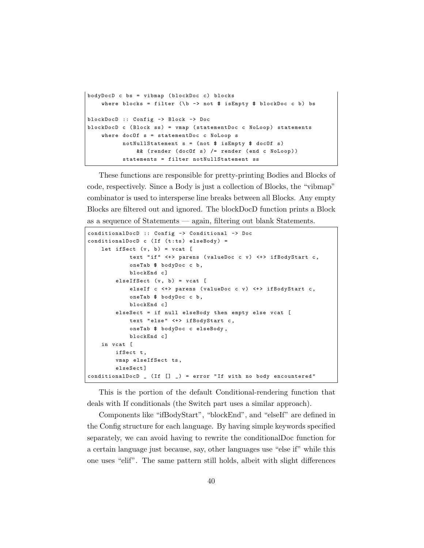```
bodyDocD c bs = vibmap ( blockDoc c) blocks
    where blocks = filter (\b - > not $ isEmpty $ blockDoc c b) bs
blockDocD :: Config -> Block -> Doc
blockDockDockDocD c (Block ss) = vmap (statementDoc c NoLoop) statements
    where docOf s = statementDoc c NoLoop s
          notNullStatement s = ( not $ isEmpty $ docOf s)
              && ( render ( docOf s) /= render ( end c NoLoop ))
          statements = filter notNullStatement ss
```
These functions are responsible for pretty-printing Bodies and Blocks of code, respectively. Since a Body is just a collection of Blocks, the "vibmap" combinator is used to intersperse line breaks between all Blocks. Any empty Blocks are filtered out and ignored. The blockDocD function prints a Block as a sequence of Statements — again, filtering out blank Statements.

```
conditionalDocD :: Config -> Conditional -> Doc
conditionalDocD c (If (t:ts) elseBody) =
   let ifSect (v, b) = vcat [
            text "if" <+> parens (valueDoc c v) <+> ifBodyStart c,
            oneTab $ bodyDoc c b ,
            blockEnd c]
        elseIf Sect (v, b) = vect [elseIf c <+> parens (valueDoc c v) <+> ifBodyStart c,
            oneTab $ bodyDoc c b ,
            blockEnd c]
        elseSect = if null elseBody then empty else vcat [
            text "else" <+> ifBodyStart c,
            oneTab $ bodyDoc c elseBody ,
            blockEnd c]
   in vcat [
       ifSect t,
        vmap elseIfSect ts ,
        elseSect ]
conditionalDocD \angle (If [] \angle) = error "If with no body encountered"
```
This is the portion of the default Conditional-rendering function that deals with If conditionals (the Switch part uses a similar approach).

Components like "ifBodyStart", "blockEnd", and "elseIf" are defined in the Config structure for each language. By having simple keywords specified separately, we can avoid having to rewrite the conditionalDoc function for a certain language just because, say, other languages use "else if" while this one uses "elif". The same pattern still holds, albeit with slight differences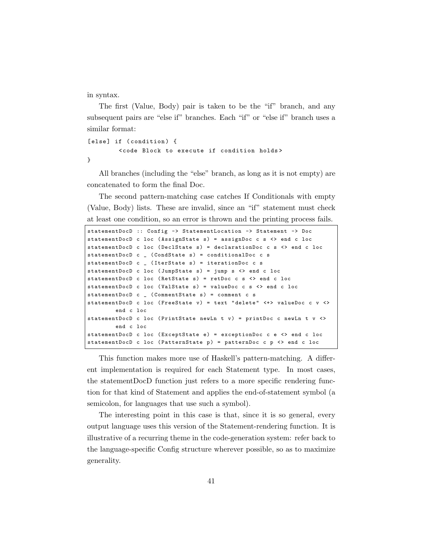in syntax.

The first (Value, Body) pair is taken to be the "if" branch, and any subsequent pairs are "else if" branches. Each "if" or "else if" branch uses a similar format:

[else] if (condition) { < code Block to execute if condition holds > }

All branches (including the "else" branch, as long as it is not empty) are concatenated to form the final Doc.

The second pattern-matching case catches If Conditionals with empty (Value, Body) lists. These are invalid, since an "if" statement must check at least one condition, so an error is thrown and the printing process fails.

```
statementDocD :: Config -> StatementLocation -> Statement -> Doc
statementDocD c loc ( AssignState s) = assignDoc c s <> end c loc
statementDocD c loc (DeclState s) = declarationDoc c s <> end c loc
statementDocD c _ (CondState s) = conditionalDoc c s
statementDocD c _ (IterState s) = iterationDoc c s
statementDocD c loc (JumpState s) = jump s <> end c loc
statementDocD c loc (RetState s) = retDoc c s <> end c loc
statementDocD c loc (ValState s) = valueDoc c s <> end c loc
statementDocD c = (CommentState s) = comment c sstatementDocD c loc (FreeState v) = text "delete" <+> valueDoc c v <>
        end c loc
statementDocD c loc (PrintState newLn t v) = printDoc c newLn t v <>
        end c loc
statementDocD c loc ( ExceptState e) = exceptionDoc c e <> end c loc
statementDocD c loc (PatternState p) = patternDoc c p <> end c loc
```
This function makes more use of Haskell's pattern-matching. A different implementation is required for each Statement type. In most cases, the statementDocD function just refers to a more specific rendering function for that kind of Statement and applies the end-of-statement symbol (a semicolon, for languages that use such a symbol).

The interesting point in this case is that, since it is so general, every output language uses this version of the Statement-rendering function. It is illustrative of a recurring theme in the code-generation system: refer back to the language-specific Config structure wherever possible, so as to maximize generality.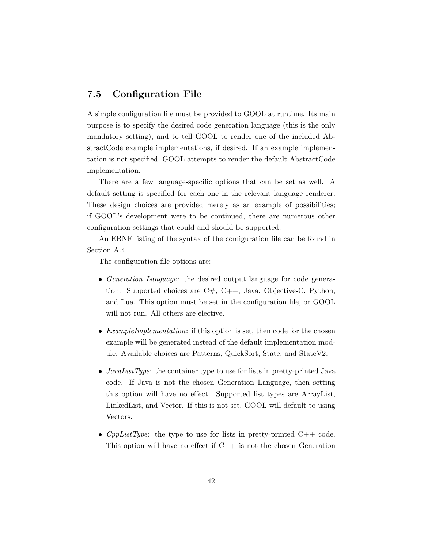## 7.5 Configuration File

A simple configuration file must be provided to GOOL at runtime. Its main purpose is to specify the desired code generation language (this is the only mandatory setting), and to tell GOOL to render one of the included AbstractCode example implementations, if desired. If an example implementation is not specified, GOOL attempts to render the default AbstractCode implementation.

There are a few language-specific options that can be set as well. A default setting is specified for each one in the relevant language renderer. These design choices are provided merely as an example of possibilities; if GOOL's development were to be continued, there are numerous other configuration settings that could and should be supported.

An EBNF listing of the syntax of the configuration file can be found in Section A.4.

The configuration file options are:

- Generation Language: the desired output language for code generation. Supported choices are  $C#$ ,  $C++$ , Java, Objective-C, Python, and Lua. This option must be set in the configuration file, or GOOL will not run. All others are elective.
- ExampleImplementation: if this option is set, then code for the chosen example will be generated instead of the default implementation module. Available choices are Patterns, QuickSort, State, and StateV2.
- *JavaListType*: the container type to use for lists in pretty-printed Java code. If Java is not the chosen Generation Language, then setting this option will have no effect. Supported list types are ArrayList, LinkedList, and Vector. If this is not set, GOOL will default to using Vectors.
- *CppListType*: the type to use for lists in pretty-printed  $C++$  code. This option will have no effect if  $C++$  is not the chosen Generation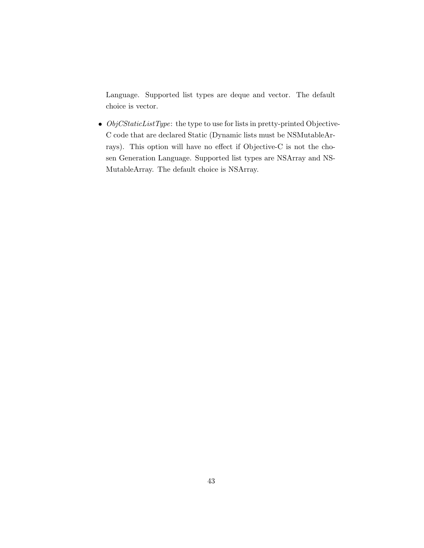Language. Supported list types are deque and vector. The default choice is vector.

 $\bullet$  *ObjCStaticListType*: the type to use for lists in pretty-printed Objective-C code that are declared Static (Dynamic lists must be NSMutableArrays). This option will have no effect if Objective-C is not the chosen Generation Language. Supported list types are NSArray and NS-MutableArray. The default choice is NSArray.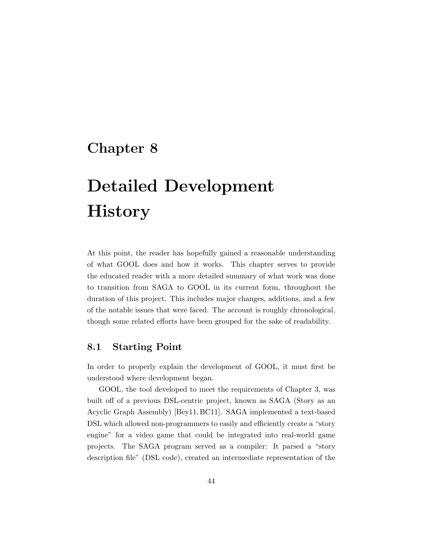## Chapter 8

# Detailed Development **History**

At this point, the reader has hopefully gained a reasonable understanding of what GOOL does and how it works. This chapter serves to provide the educated reader with a more detailed summary of what work was done to transition from SAGA to GOOL in its current form, throughout the duration of this project. This includes major changes, additions, and a few of the notable issues that were faced. The account is roughly chronological, though some related efforts have been grouped for the sake of readability.

## 8.1 Starting Point

In order to properly explain the development of GOOL, it must first be understood where development began.

GOOL, the tool developed to meet the requirements of Chapter 3, was built off of a previous DSL-centric project, known as SAGA (Story as an Acyclic Graph Assembly) [Bey11, BC11]. SAGA implemented a text-based DSL which allowed non-programmers to easily and efficiently create a "story engine" for a video game that could be integrated into real-world game projects. The SAGA program served as a compiler: It parsed a "story description file" (DSL code), created an intermediate representation of the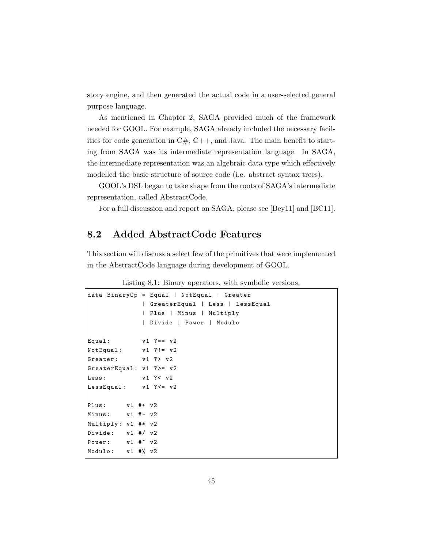story engine, and then generated the actual code in a user-selected general purpose language.

As mentioned in Chapter 2, SAGA provided much of the framework needed for GOOL. For example, SAGA already included the necessary facilities for code generation in  $C#$ ,  $C++$ , and Java. The main benefit to starting from SAGA was its intermediate representation language. In SAGA, the intermediate representation was an algebraic data type which effectively modelled the basic structure of source code (i.e. abstract syntax trees).

GOOL's DSL began to take shape from the roots of SAGA's intermediate representation, called AbstractCode.

For a full discussion and report on SAGA, please see [Bey11] and [BC11].

### 8.2 Added AbstractCode Features

This section will discuss a select few of the primitives that were implemented in the AbstractCode language during development of GOOL.

Listing 8.1: Binary operators, with symbolic versions.

```
data BinaryOp = Equal | NotEqual | Greater
             | GreaterEqual | Less | LessEqual
             | Plus | Minus | Multiply
             | Divide | Power | Modulo
Equal: v1 ?== v2NotEqual: v1 ?!= v2Greater: v1 ?> v2
GreaterEqual: v1 ?>= v2Less: v1 ?< v2LessEqual: v1 ? \leq v2Plus: v1 #+ v2Minus: v1 #- v2Multiply : v1 #* v2
Divide: v1 #/ v2Power: v1 #<sup>^</sup> v2
Modulo: v1 #% v2
```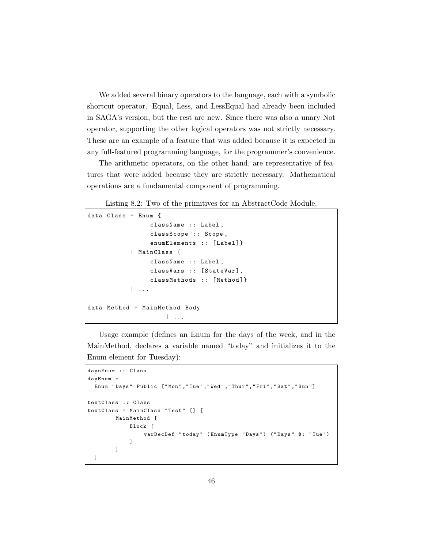We added several binary operators to the language, each with a symbolic shortcut operator. Equal, Less, and LessEqual had already been included in SAGA's version, but the rest are new. Since there was also a unary Not operator, supporting the other logical operators was not strictly necessary. These are an example of a feature that was added because it is expected in any full-featured programming language, for the programmer's convenience.

The arithmetic operators, on the other hand, are representative of features that were added because they are strictly necessary. Mathematical operations are a fundamental component of programming.

Listing 8.2: Two of the primitives for an AbstractCode Module.

```
data Class = Enum {
                 className :: Label ,
                 classScope :: Scope ,
                 enumElements :: [Label]}
            | MainClass {
                 className :: Label ,
                 classVars :: [StateVar],
                 classMethods :: [Method]}
            | ...
data Method = MainMethod Body
                     | \cdot |...
```
Usage example (defines an Enum for the days of the week, and in the MainMethod, declares a variable named "today" and initializes it to the Enum element for Tuesday):

```
daysEnum :: Class
dayEnum =
  Enum " Days " Public [" Mon " ," Tue " ," Wed " ," Thur " ," Fri " ," Sat " ," Sun "]
testClass :: Class
testClass = MainClass "Test" [] [
         MainMethod [
             Block [
                  varDecDef " today " ( EnumType " Days ") (" Days " $: " Tue ")
             ]
         ]
 ]
```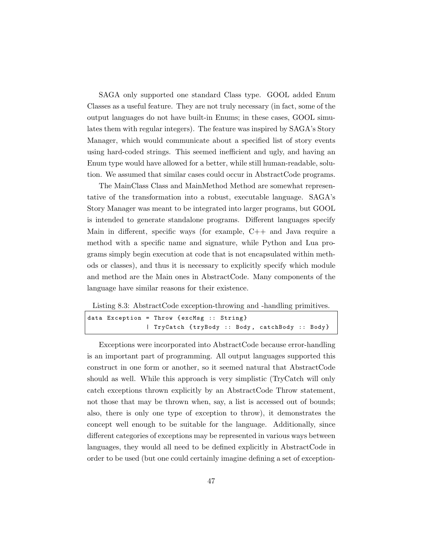SAGA only supported one standard Class type. GOOL added Enum Classes as a useful feature. They are not truly necessary (in fact, some of the output languages do not have built-in Enums; in these cases, GOOL simulates them with regular integers). The feature was inspired by SAGA's Story Manager, which would communicate about a specified list of story events using hard-coded strings. This seemed inefficient and ugly, and having an Enum type would have allowed for a better, while still human-readable, solution. We assumed that similar cases could occur in AbstractCode programs.

The MainClass Class and MainMethod Method are somewhat representative of the transformation into a robust, executable language. SAGA's Story Manager was meant to be integrated into larger programs, but GOOL is intended to generate standalone programs. Different languages specify Main in different, specific ways (for example, C++ and Java require a method with a specific name and signature, while Python and Lua programs simply begin execution at code that is not encapsulated within methods or classes), and thus it is necessary to explicitly specify which module and method are the Main ones in AbstractCode. Many components of the language have similar reasons for their existence.

Listing 8.3: AbstractCode exception-throwing and -handling primitives.

| data Exception = Throw $\{exchsg :: String\}$ |  |  |                                               |  |
|-----------------------------------------------|--|--|-----------------------------------------------|--|
|                                               |  |  | TryCatch {tryBody :: Body, catchBody :: Body} |  |

Exceptions were incorporated into AbstractCode because error-handling is an important part of programming. All output languages supported this construct in one form or another, so it seemed natural that AbstractCode should as well. While this approach is very simplistic (TryCatch will only catch exceptions thrown explicitly by an AbstractCode Throw statement, not those that may be thrown when, say, a list is accessed out of bounds; also, there is only one type of exception to throw), it demonstrates the concept well enough to be suitable for the language. Additionally, since different categories of exceptions may be represented in various ways between languages, they would all need to be defined explicitly in AbstractCode in order to be used (but one could certainly imagine defining a set of exception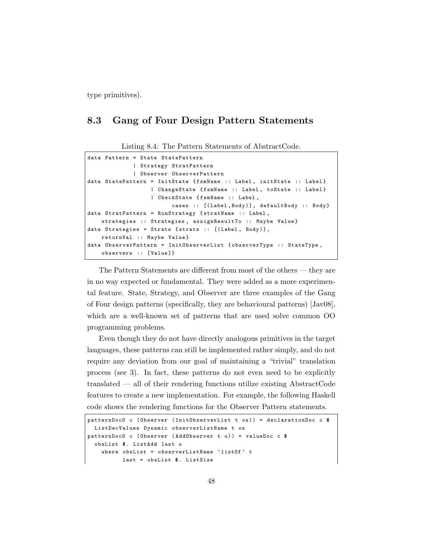type primitives).

### 8.3 Gang of Four Design Pattern Statements

Listing 8.4: The Pattern Statements of AbstractCode.

```
data Pattern = State StatePattern
             | Strategy StratPattern
             | Observer ObserverPattern
data StatePattern = InitState {fsmName :: Label, initState :: Label}
                   | ChangeState { fsmName :: Label , toState :: Label }
                   | CheckState { fsmName :: Label ,
                        cases :: [(Label,Body)], defaultBody :: Body}
data StratPattern = RunStrategy { stratName :: Label ,
   strategies :: Strategies, assignResultTo :: Maybe Value}
data Strategies = Strats { strats :: [(Label, Body)],
    returnVal :: Maybe Value }
data ObserverPattern = InitObserverList { observerType :: StateType ,
    observers :: [Value]}
```
The Pattern Statements are different from most of the others — they are in no way expected or fundamental. They were added as a more experimental feature. State, Strategy, and Observer are three examples of the Gang of Four design patterns (specifically, they are behavioural patterns) [Jav08], which are a well-known set of patterns that are used solve common OO programming problems.

Even though they do not have directly analogous primitives in the target languages, these patterns can still be implemented rather simply, and do not require any deviation from our goal of maintaining a "trivial" translation process (see 3). In fact, these patterns do not even need to be explicitly translated — all of their rendering functions utilize existing AbstractCode features to create a new implementation. For example, the following Haskell code shows the rendering functions for the Observer Pattern statements.

```
patternDocD c ( Observer ( InitObserverList t os )) = declarationDoc c $
 ListDecValues Dynamic observerListName t os
patternDocD c ( Observer ( AddObserver t o)) = valueDoc c $
  obsList $. ListAdd last o
    where obsList = observerListName 'listOf' t
          last = obsList $. ListSize
```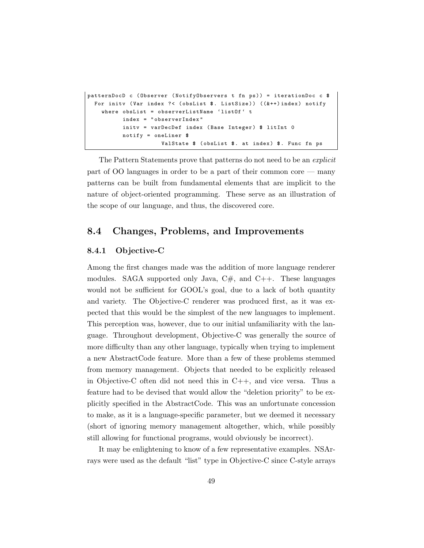```
patternDocD c ( Observer ( NotifyObservers t fn ps )) = iterationDoc c $
 For initv (Var index ?< (obsList $. ListSize)) ((&++)index) notify
   where obsList = observerListName 'listOf' t
          index = " observerIndex "
          initv = varDecDef index (Base Integer) $ litInt 0
          notify = oneLiner $
                     ValState $ (obsList $. at index) $. Func fn ps
```
The Pattern Statements prove that patterns do not need to be an explicit part of OO languages in order to be a part of their common core — many patterns can be built from fundamental elements that are implicit to the nature of object-oriented programming. These serve as an illustration of the scope of our language, and thus, the discovered core.

### 8.4 Changes, Problems, and Improvements

#### 8.4.1 Objective-C

Among the first changes made was the addition of more language renderer modules. SAGA supported only Java,  $C#$ , and  $C++$ . These languages would not be sufficient for GOOL's goal, due to a lack of both quantity and variety. The Objective-C renderer was produced first, as it was expected that this would be the simplest of the new languages to implement. This perception was, however, due to our initial unfamiliarity with the language. Throughout development, Objective-C was generally the source of more difficulty than any other language, typically when trying to implement a new AbstractCode feature. More than a few of these problems stemmed from memory management. Objects that needed to be explicitly released in Objective-C often did not need this in  $C_{++}$ , and vice versa. Thus a feature had to be devised that would allow the "deletion priority" to be explicitly specified in the AbstractCode. This was an unfortunate concession to make, as it is a language-specific parameter, but we deemed it necessary (short of ignoring memory management altogether, which, while possibly still allowing for functional programs, would obviously be incorrect).

It may be enlightening to know of a few representative examples. NSArrays were used as the default "list" type in Objective-C since C-style arrays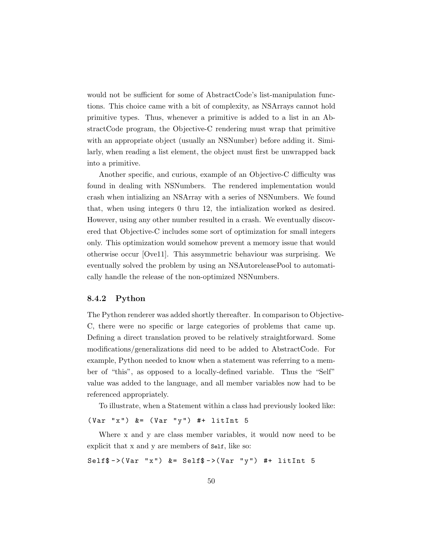would not be sufficient for some of AbstractCode's list-manipulation functions. This choice came with a bit of complexity, as NSArrays cannot hold primitive types. Thus, whenever a primitive is added to a list in an AbstractCode program, the Objective-C rendering must wrap that primitive with an appropriate object (usually an NSNumber) before adding it. Similarly, when reading a list element, the object must first be unwrapped back into a primitive.

Another specific, and curious, example of an Objective-C difficulty was found in dealing with NSNumbers. The rendered implementation would crash when intializing an NSArray with a series of NSNumbers. We found that, when using integers 0 thru 12, the intialization worked as desired. However, using any other number resulted in a crash. We eventually discovered that Objective-C includes some sort of optimization for small integers only. This optimization would somehow prevent a memory issue that would otherwise occur [Ove11]. This assymmetric behaviour was surprising. We eventually solved the problem by using an NSAutoreleasePool to automatically handle the release of the non-optimized NSNumbers.

#### 8.4.2 Python

The Python renderer was added shortly thereafter. In comparison to Objective-C, there were no specific or large categories of problems that came up. Defining a direct translation proved to be relatively straightforward. Some modifications/generalizations did need to be added to AbstractCode. For example, Python needed to know when a statement was referring to a member of "this", as opposed to a locally-defined variable. Thus the "Self" value was added to the language, and all member variables now had to be referenced appropriately.

To illustrate, when a Statement within a class had previously looked like:

 $(Var "x")$  &=  $(Var "y")$  #+ litInt 5

Where x and y are class member variables, it would now need to be explicit that x and y are members of Self, like so:

Self\$ ->(Var "x")  $&=$  Self\$ ->(Var "y") #+ litInt 5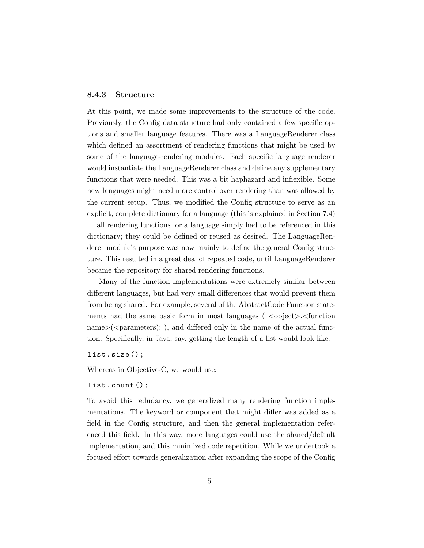#### 8.4.3 Structure

At this point, we made some improvements to the structure of the code. Previously, the Config data structure had only contained a few specific options and smaller language features. There was a LanguageRenderer class which defined an assortment of rendering functions that might be used by some of the language-rendering modules. Each specific language renderer would instantiate the LanguageRenderer class and define any supplementary functions that were needed. This was a bit haphazard and inflexible. Some new languages might need more control over rendering than was allowed by the current setup. Thus, we modified the Config structure to serve as an explicit, complete dictionary for a language (this is explained in Section 7.4) — all rendering functions for a language simply had to be referenced in this dictionary; they could be defined or reused as desired. The LanguageRenderer module's purpose was now mainly to define the general Config structure. This resulted in a great deal of repeated code, until LanguageRenderer became the repository for shared rendering functions.

Many of the function implementations were extremely similar between different languages, but had very small differences that would prevent them from being shared. For example, several of the AbstractCode Function statements had the same basic form in most languages ( $\langle$ object>. $\langle$ function  $\text{name}$   $\geq$  ( $\leq$  parameters); ), and differed only in the name of the actual function. Specifically, in Java, say, getting the length of a list would look like:

list.size();

Whereas in Objective-C, we would use:

list.count();

To avoid this redudancy, we generalized many rendering function implementations. The keyword or component that might differ was added as a field in the Config structure, and then the general implementation referenced this field. In this way, more languages could use the shared/default implementation, and this minimized code repetition. While we undertook a focused effort towards generalization after expanding the scope of the Config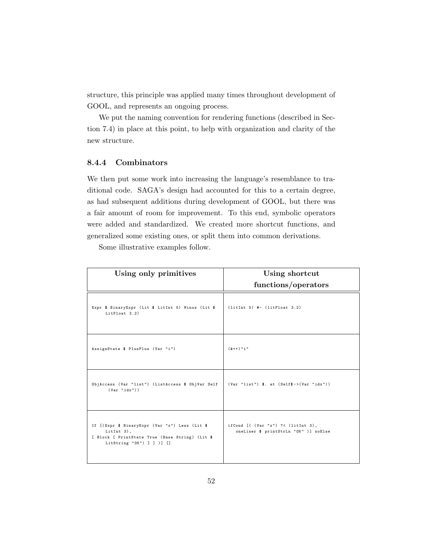structure, this principle was applied many times throughout development of GOOL, and represents an ongoing process.

We put the naming convention for rendering functions (described in Section 7.4) in place at this point, to help with organization and clarity of the new structure.

#### 8.4.4 Combinators

We then put some work into increasing the language's resemblance to traditional code. SAGA's design had accounted for this to a certain degree, as had subsequent additions during development of GOOL, but there was a fair amount of room for improvement. To this end, symbolic operators were added and standardized. We created more shortcut functions, and generalized some existing ones, or split them into common derivations.

Some illustrative examples follow.

| Using only primitives                                                                                                                           | Using shortcut                                                                       |
|-------------------------------------------------------------------------------------------------------------------------------------------------|--------------------------------------------------------------------------------------|
|                                                                                                                                                 | functions/operators                                                                  |
| Expr \$ BinaryExpr (Lit \$ LitInt 5) Minus (Lit \$<br>LitFloat 3.2)                                                                             | $(litInt 5)$ #- $(litFloat 3.2)$                                                     |
| AssignState \$ PlusPlus (Var "i")                                                                                                               | $(k++)$ "i"                                                                          |
| ObjAccess (Var "list") (ListAccess \$ ObjVar Self<br>$(Var "idx")$ )                                                                            | $(Var "list")$ \$. at $(Self$ §-> $(Var "idx")$ )                                    |
| If [(Expr \$ BinaryExpr (Var "x") Less (Lit \$<br>$Little 3)$ ,<br>[ Block [ PrintState True (Base String) (Lit \$<br>LitString "OK") ] ] )] [] | ifCond $[$ ( $(Var "x")$ ?< $(liftInt 3)$ ,<br>oneLiner \$ printStrLn "OK" )] noElse |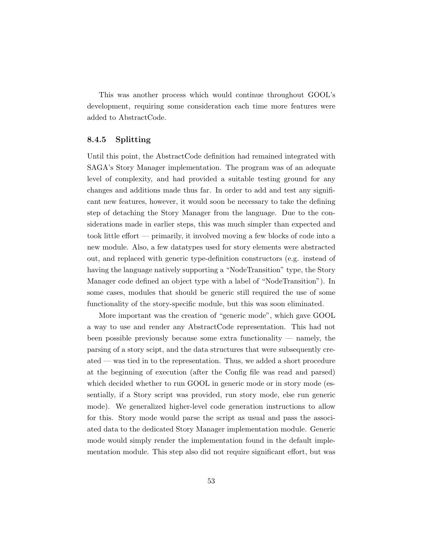This was another process which would continue throughout GOOL's development, requiring some consideration each time more features were added to AbstractCode.

#### 8.4.5 Splitting

Until this point, the AbstractCode definition had remained integrated with SAGA's Story Manager implementation. The program was of an adequate level of complexity, and had provided a suitable testing ground for any changes and additions made thus far. In order to add and test any significant new features, however, it would soon be necessary to take the defining step of detaching the Story Manager from the language. Due to the considerations made in earlier steps, this was much simpler than expected and took little effort — primarily, it involved moving a few blocks of code into a new module. Also, a few datatypes used for story elements were abstracted out, and replaced with generic type-definition constructors (e.g. instead of having the language natively supporting a "NodeTransition" type, the Story Manager code defined an object type with a label of "NodeTransition"). In some cases, modules that should be generic still required the use of some functionality of the story-specific module, but this was soon eliminated.

More important was the creation of "generic mode", which gave GOOL a way to use and render any AbstractCode representation. This had not been possible previously because some extra functionality — namely, the parsing of a story scipt, and the data structures that were subsequently created — was tied in to the representation. Thus, we added a short procedure at the beginning of execution (after the Config file was read and parsed) which decided whether to run GOOL in generic mode or in story mode (essentially, if a Story script was provided, run story mode, else run generic mode). We generalized higher-level code generation instructions to allow for this. Story mode would parse the script as usual and pass the associated data to the dedicated Story Manager implementation module. Generic mode would simply render the implementation found in the default implementation module. This step also did not require significant effort, but was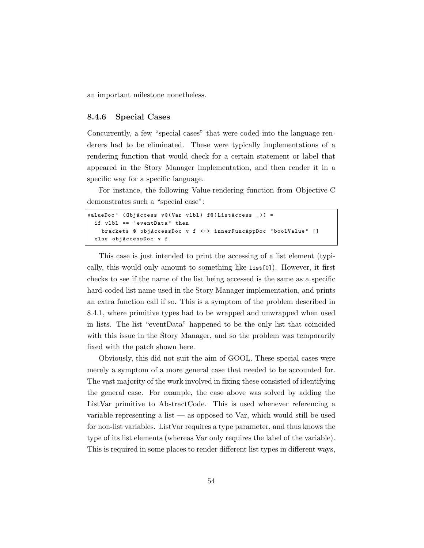an important milestone nonetheless.

#### 8.4.6 Special Cases

Concurrently, a few "special cases" that were coded into the language renderers had to be eliminated. These were typically implementations of a rendering function that would check for a certain statement or label that appeared in the Story Manager implementation, and then render it in a specific way for a specific language.

For instance, the following Value-rendering function from Objective-C demonstrates such a "special case":

```
valueDoc' (ObjAccess v@ (Var vlbl) f@ (ListAccess _)) =
  if vlbl == " eventData " then
    brackets $ objAccessDoc v f <+> innerFuncAppDoc " boolValue " []
  else objAccessDoc v f
```
This case is just intended to print the accessing of a list element (typically, this would only amount to something like list[0]). However, it first checks to see if the name of the list being accessed is the same as a specific hard-coded list name used in the Story Manager implementation, and prints an extra function call if so. This is a symptom of the problem described in 8.4.1, where primitive types had to be wrapped and unwrapped when used in lists. The list "eventData" happened to be the only list that coincided with this issue in the Story Manager, and so the problem was temporarily fixed with the patch shown here.

Obviously, this did not suit the aim of GOOL. These special cases were merely a symptom of a more general case that needed to be accounted for. The vast majority of the work involved in fixing these consisted of identifying the general case. For example, the case above was solved by adding the ListVar primitive to AbstractCode. This is used whenever referencing a variable representing a list — as opposed to Var, which would still be used for non-list variables. ListVar requires a type parameter, and thus knows the type of its list elements (whereas Var only requires the label of the variable). This is required in some places to render different list types in different ways,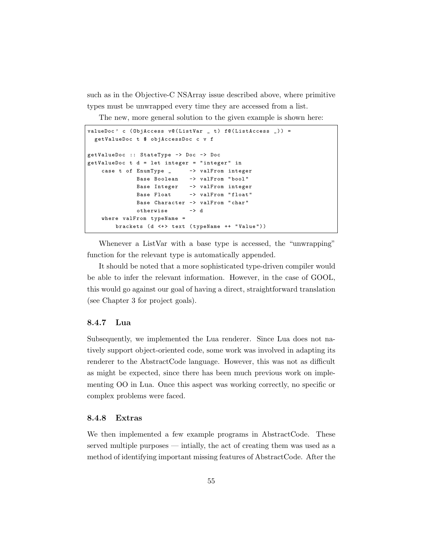such as in the Objective-C NSArray issue described above, where primitive types must be unwrapped every time they are accessed from a list.

The new, more general solution to the given example is shown here:

```
valueDoc, c (ObjAccess v@(ListVar _ t) f@(ListAccess _)) =
 getValueDoc t $ objAccessDoc c v f
getValueDoc :: StateType -> Doc -> Doc
getValueDoc t d = let integer = " integer " in
    case t of EnumType _ -> valFrom integer
             Base Boolean -> valFrom " bool "
             Base Integer -> valFrom integer
             Base Float -> valFrom "float"
             Base Character -> valFrom " char "
             otherwise -> d
   where valFrom typeName =
       brackets (d <+> text ( typeName ++ " Value ") )
```
Whenever a ListVar with a base type is accessed, the "unwrapping" function for the relevant type is automatically appended.

It should be noted that a more sophisticated type-driven compiler would be able to infer the relevant information. However, in the case of GOOL, this would go against our goal of having a direct, straightforward translation (see Chapter 3 for project goals).

#### 8.4.7 Lua

Subsequently, we implemented the Lua renderer. Since Lua does not natively support object-oriented code, some work was involved in adapting its renderer to the AbstractCode language. However, this was not as difficult as might be expected, since there has been much previous work on implementing OO in Lua. Once this aspect was working correctly, no specific or complex problems were faced.

#### 8.4.8 Extras

We then implemented a few example programs in AbstractCode. These served multiple purposes — intially, the act of creating them was used as a method of identifying important missing features of AbstractCode. After the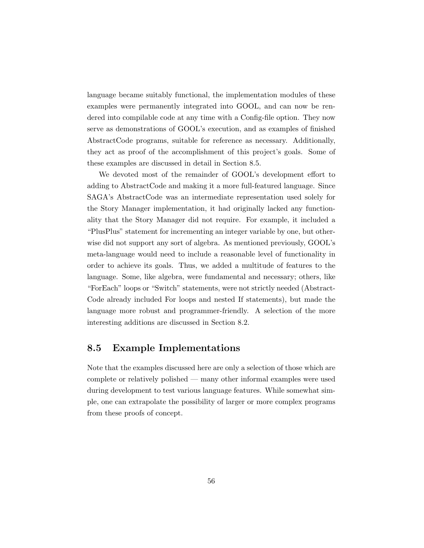language became suitably functional, the implementation modules of these examples were permanently integrated into GOOL, and can now be rendered into compilable code at any time with a Config-file option. They now serve as demonstrations of GOOL's execution, and as examples of finished AbstractCode programs, suitable for reference as necessary. Additionally, they act as proof of the accomplishment of this project's goals. Some of these examples are discussed in detail in Section 8.5.

We devoted most of the remainder of GOOL's development effort to adding to AbstractCode and making it a more full-featured language. Since SAGA's AbstractCode was an intermediate representation used solely for the Story Manager implementation, it had originally lacked any functionality that the Story Manager did not require. For example, it included a "PlusPlus" statement for incrementing an integer variable by one, but otherwise did not support any sort of algebra. As mentioned previously, GOOL's meta-language would need to include a reasonable level of functionality in order to achieve its goals. Thus, we added a multitude of features to the language. Some, like algebra, were fundamental and necessary; others, like "ForEach" loops or "Switch" statements, were not strictly needed (Abstract-Code already included For loops and nested If statements), but made the language more robust and programmer-friendly. A selection of the more interesting additions are discussed in Section 8.2.

### 8.5 Example Implementations

Note that the examples discussed here are only a selection of those which are complete or relatively polished — many other informal examples were used during development to test various language features. While somewhat simple, one can extrapolate the possibility of larger or more complex programs from these proofs of concept.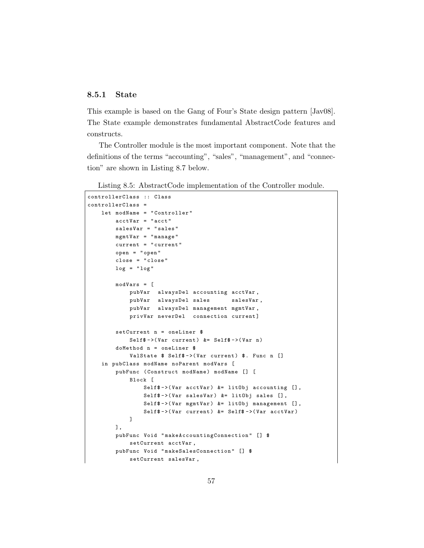#### 8.5.1 State

This example is based on the Gang of Four's State design pattern [Jav08]. The State example demonstrates fundamental AbstractCode features and constructs.

The Controller module is the most important component. Note that the definitions of the terms "accounting", "sales", "management", and "connection" are shown in Listing 8.7 below.

Listing 8.5: AbstractCode implementation of the Controller module.

```
controllerClass :: Class
controllerClass =
    let modName = " Controller "
        acctVar = " acct "
        salesVar = " sales "
        mgmtVar = " manage "
        current = " current "
        open = " open "
        close = " close "
        log = "log"modVars = [
            pubVar alwaysDel accounting acctVar ,
            pubVar alwaysDel sales salesVar,
            pubVar alwaysDel management mgmtVar ,
            privVar neverDel connection current]
        setCurrent n = oneLiner $
            Self\frac{1}{2} ->(Var current) &= Self\frac{1}{2} ->(Var n)
        doMethod n = oneLiner $
            ValState \$ Self\$ ->(Var current) \$. Func n []
    in pubClass modName noParent modVars [
        pubFunc ( Construct modName ) modName [] [
            Block [
                 Self$ ->(Var acctVar) k = 1itObj accounting [],
                 Self$ ->(Var salesVar) &= litObj sales [],
                 Self$ ->(Var mgmtVar) k = litObj management [],
                 Self$ ->(Var current) &= Self$ ->(Var acctVar)
            ]
        ],
        pubFunc Void " makeAccountingConnection " [] $
            setCurrent acctVar ,
        pubFunc Void "makeSalesConnection" [] $
            setCurrent salesVar ,
```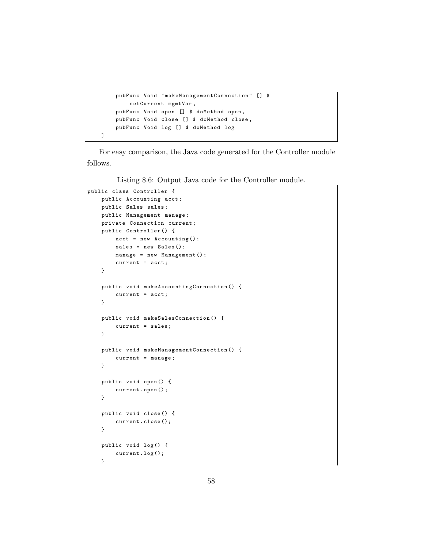```
pubFunc Void " makeManagementConnection " [] $
        setCurrent mgmtVar ,
    pubFunc Void open [] $ doMethod open ,
    pubFunc Void close [] $ doMethod close ,
    pubFunc Void log [] $ doMethod log
]
```
For easy comparison, the Java code generated for the Controller module follows.

Listing 8.6: Output Java code for the Controller module.

```
public class Controller {
    public Accounting acct;
    public Sales sales ;
    public Management manage ;
    private Connection current ;
    public Controller () {
        acct = new Accounting () ;
        sales = new Sales();
        manage = new Management () ;
        current = acct;
    }
    public void makeAccountingConnection () {
        current = acct;
    }
    public void makeSalesConnection () {
        current = sales ;
    }
    public void makeManagementConnection () {
        current = manage ;
    }
    public void open () {
        current . open () ;
    }
    public void close () {
        current . close () ;
    }
    public void log () {
        current . log () ;
    }
```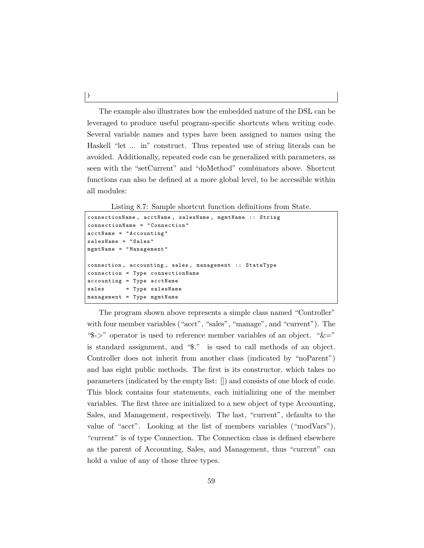The example also illustrates how the embedded nature of the DSL can be leveraged to produce useful program-specific shortcuts when writing code. Several variable names and types have been assigned to names using the Haskell "let ... in" construct. Thus repeated use of string literals can be avoided. Additionally, repeated code can be generalized with parameters, as seen with the "setCurrent" and "doMethod" combinators above. Shortcut functions can also be defined at a more global level, to be accessible within all modules:

Listing 8.7: Sample shortcut function definitions from State.

```
connectionName , acctName , salesName , mgmtName :: String
connectionName = " Connection "
acctName = " Accounting "
salesName = " Sales "
mgmtName = " Management "
connection , accounting , sales , management :: StateType
connection = Type connectionName
accounting = Type acctName
sales = Type salesName
management = Type mgmtName
```
The program shown above represents a simple class named "Controller" with four member variables ("acct", "sales", "manage", and "current"). The " $\rightarrow$ " operator is used to reference member variables of an object. " $\&=$ " is standard assignment, and "\$." is used to call methods of an object. Controller does not inherit from another class (indicated by "noParent") and has eight public methods. The first is its constructor, which takes no parameters (indicated by the empty list: []) and consists of one block of code. This block contains four statements, each initializing one of the member variables. The first three are initialized to a new object of type Accounting, Sales, and Management, respectively. The last, "current", defaults to the value of "acct". Looking at the list of members variables ("modVars"), "current" is of type Connection. The Connection class is defined elsewhere as the parent of Accounting, Sales, and Management, thus "current" can hold a value of any of those three types.

}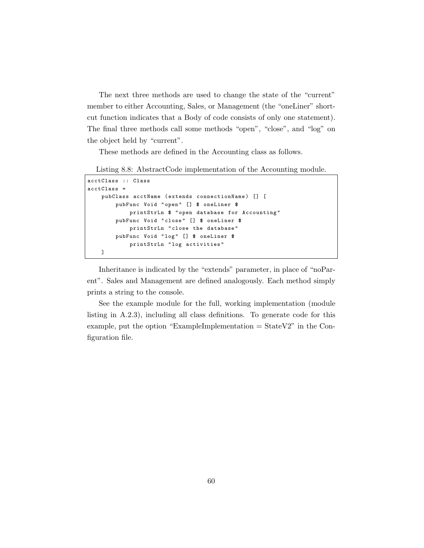The next three methods are used to change the state of the "current" member to either Accounting, Sales, or Management (the "oneLiner" shortcut function indicates that a Body of code consists of only one statement). The final three methods call some methods "open", "close", and "log" on the object held by "current".

These methods are defined in the Accounting class as follows.

```
Listing 8.8: AbstractCode implementation of the Accounting module.
```

```
acctClass :: Class
acctClass =
   pubClass acctName (extends connectionName) [] [
        pubFunc Void "open" [] $ oneLiner $
            printStrLn $ " open database for Accounting "
        pubFunc Void "close" [] $ oneLiner $
            printStrLn " close the database "
        pubFunc Void "log" [] $ oneLiner $
            printStrLn " log activities "
   ]
```
Inheritance is indicated by the "extends" parameter, in place of "noParent". Sales and Management are defined analogously. Each method simply prints a string to the console.

See the example module for the full, working implementation (module listing in A.2.3), including all class definitions. To generate code for this example, put the option "ExampleImplementation  $=$  StateV2" in the Configuration file.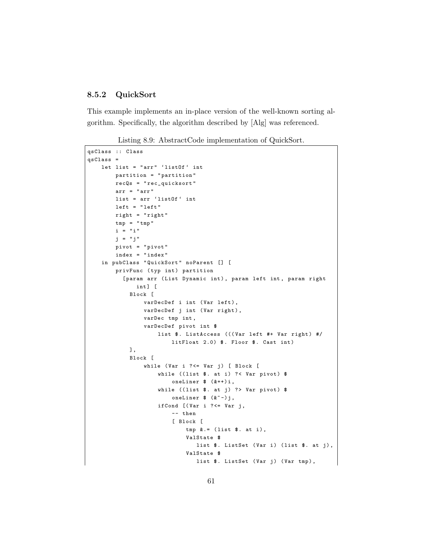#### 8.5.2 QuickSort

This example implements an in-place version of the well-known sorting algorithm. Specifically, the algorithm described by [Alg] was referenced.

Listing 8.9: AbstractCode implementation of QuickSort.

```
qsClass :: Class
qsClass =
   let list = "arr" 'listOf' int
        partition = " partition "
        recQs = " rec_quicksort "
        arr = " arr "
        list = arr 'listOf' int
        left = "left"right = " right "
        tmp = "tmp"i = "i"j = " j"
        pivot = " pivot "
        index = " index "
    in pubClass "QuickSort" noParent [] [
        privFunc (typ int) partition
          [param arr (List Dynamic int), param left int, param right
              int] [
            Block [
                 varDecDef i int (Var left),
                 varDecDef j int (Var right),
                 varDec tmp int ,
                varDecDef pivot int $
                     list \. ListAccess (((Var left #+ Var right) #/
                         litFloat 2.0) $. Floor $. Cast int)
            ],
            Block [
                 while (Var i ? <= Var j) [ Block [
                     while ((list \frac{1}{2}. at i) ?< Var pivot) $
                         oneLiner % (++)i,
                     while ((list \frac{1}{2}. at j) ?> Var pivot) $
                         oneLiner % (k<sup>2</sup> - ) j,
                     ifCond [(Var i ?<=Var i,-- then
                         [ Block [
                             tmp \&.= (list \$.\at i),
                              ValState $
                                 list $. ListSet (Var i) (list $. at j),
                              ValState $
                                 list $. ListSet (Var j) (Var tmp),
```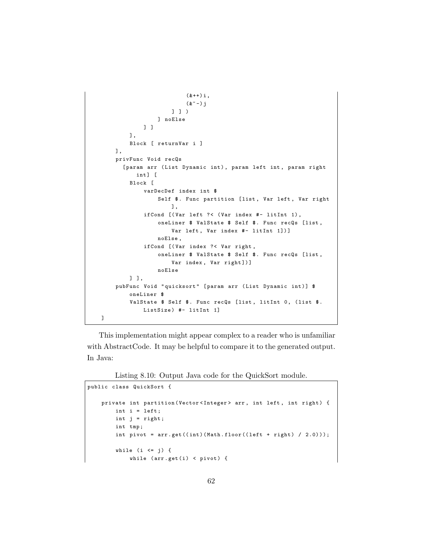```
(k++) i,
                         (k<sup>2</sup> - ) j] ] )
                 ] noElse
            ] ]
        ],
        Block [ returnVar i ]
    ],
    privFunc Void recQs
      [param arr (List Dynamic int), param left int, param right
          int] [
        Block [
            varDecDef index int $
                 Self $. Func partition [list, Var left, Var right
                     ],
            ifCond [( Var left ?< ( Var index #- litInt 1) ,
                 oneLiner $ ValState $ Self $. Func recQs [ list ,
                     Var left, Var index #- litInt 1])]
                 noElse ,
            ifCond [(Var index ?< Var right,
                 oneLiner $ ValState $ Self $. Func recQs [list,
                     Var index, Var right])]
                 noElse
        ] ],
    pubFunc Void "quicksort" [param arr (List Dynamic int)] $
        oneLiner $
        ValState $ Self $. Func recQs [list, litInt 0, (list $.
            ListSize) #- litInt 1]
]
```
This implementation might appear complex to a reader who is unfamiliar with AbstractCode. It may be helpful to compare it to the generated output. In Java:

Listing 8.10: Output Java code for the QuickSort module.

```
public class QuickSort {
    private int partition (Vector<Integer> arr, int left, int right) {
        int i = left ;
        int j = right;int tmp ;
        int pivot = arr.get((int)(Math.float) (let + right) / 2.0))));
        while (i \leq j) {
            while (\text{arr.get}(i) \lt pivot) {
```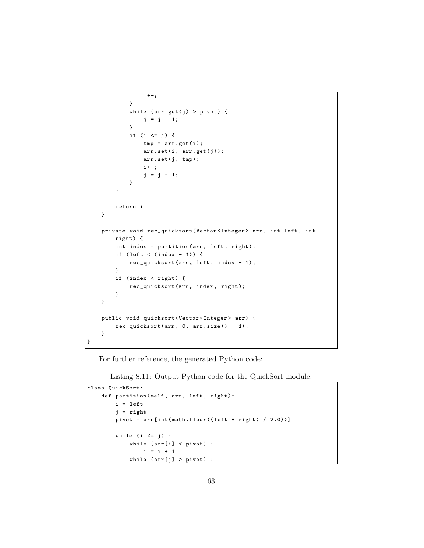```
i ++;
              }
              while (\text{arr.get}(j) > \text{pivot}) {
                   j = j - 1;}
              if (i <= j) {
                  tmp = arr . get (i) ;
                   arr.set(i, arr.get(j));arr.set(j, tmp);i ++;
                   j = j - 1;}
         }
         return i;
    }
    private void rec_quicksort ( Vector < Integer > arr , int left , int
         right ) {
         int index = partition (\text{arr}, \text{ left}, \text{ right});
         if (left \langle (index - 1)) {
              rec_quicksort ( arr , left , index - 1) ;
         }
         if (index < right) {
              rec_quicksort ( arr , index , right );
         }
    }
    public void quicksort ( Vector < Integer > arr ) {
         rec\_quicksort( arr, 0, arr.size() - 1);}
}
```
For further reference, the generated Python code:

Listing 8.11: Output Python code for the QuickSort module.

```
class QuickSort :
    def partition (self, arr, left, right):
        i = left
         j = right
         pivot = arr(int(math.float) (left + right) / 2.0))]while (i \le j) :
             while (\text{arr}[i] \leq \text{pivot}) :
                  i = i + 1while (\text{arr}[j] > \text{pivot}) :
```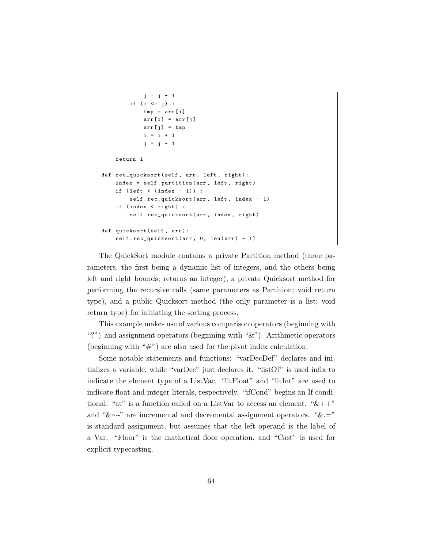```
j = j - 1if (i <= j) :
            tmp = arr[i]arr[i] = arr[j]arr[j] = tmpi = i + 1j = j - 1return i
def rec_quicksort (self, arr, left, right):
    index = self.partition (arr, left, right)
    if (left < (index - 1)) :
       self.rec_quicksort (arr, left, index - 1)
    if (index < right) :
       self.rec_quicksort (arr, index, right)
def quicksort (self, arr):
    self.rec_quicksort (arr, 0, len (arr) - 1)
```
The QuickSort module contains a private Partition method (three parameters, the first being a dynamic list of integers, and the others being left and right bounds; returns an integer), a private Quicksort method for performing the recursive calls (same parameters as Partition; void return type), and a public Quicksort method (the only parameter is a list; void return type) for initiating the sorting process.

This example makes use of various comparison operators (beginning with "?") and assignment operators (beginning with "&"). Arithmetic operators (beginning with " $\#$ ") are also used for the pivot index calculation.

Some notable statements and functions: "varDecDef" declares and initializes a variable, while "varDec" just declares it. "listOf" is used infix to indicate the element type of a ListVar. "litFloat" and "litInt" are used to indicate float and integer literals, respectively. "ifCond" begins an If conditional. "at" is a function called on a ListVar to access an element. " $\&+$ " and "&∼-" are incremental and decremental assignment operators. "&.=" is standard assignment, but assumes that the left operand is the label of a Var. "Floor" is the mathetical floor operation, and "Cast" is used for explicit typecasting.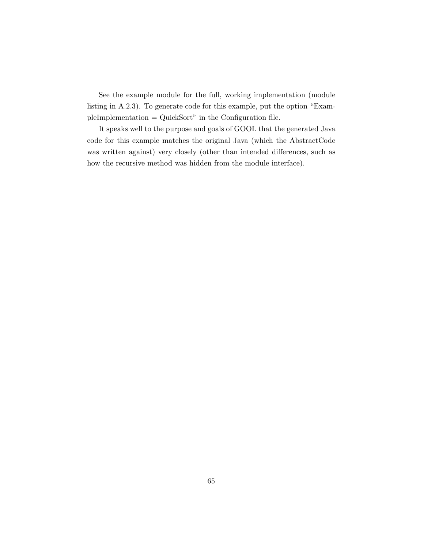See the example module for the full, working implementation (module listing in A.2.3). To generate code for this example, put the option "ExampleImplementation = QuickSort" in the Configuration file.

It speaks well to the purpose and goals of GOOL that the generated Java code for this example matches the original Java (which the AbstractCode was written against) very closely (other than intended differences, such as how the recursive method was hidden from the module interface).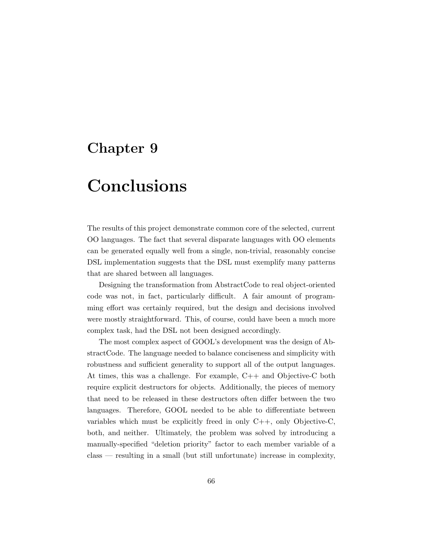## Chapter 9

## **Conclusions**

The results of this project demonstrate common core of the selected, current OO languages. The fact that several disparate languages with OO elements can be generated equally well from a single, non-trivial, reasonably concise DSL implementation suggests that the DSL must exemplify many patterns that are shared between all languages.

Designing the transformation from AbstractCode to real object-oriented code was not, in fact, particularly difficult. A fair amount of programming effort was certainly required, but the design and decisions involved were mostly straightforward. This, of course, could have been a much more complex task, had the DSL not been designed accordingly.

The most complex aspect of GOOL's development was the design of AbstractCode. The language needed to balance conciseness and simplicity with robustness and sufficient generality to support all of the output languages. At times, this was a challenge. For example, C++ and Objective-C both require explicit destructors for objects. Additionally, the pieces of memory that need to be released in these destructors often differ between the two languages. Therefore, GOOL needed to be able to differentiate between variables which must be explicitly freed in only C++, only Objective-C, both, and neither. Ultimately, the problem was solved by introducing a manually-specified "deletion priority" factor to each member variable of a class — resulting in a small (but still unfortunate) increase in complexity,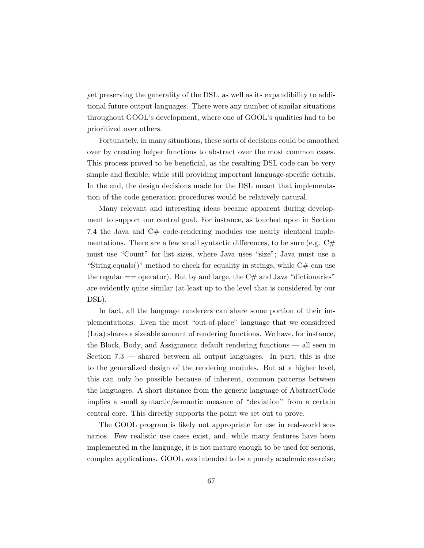yet preserving the generality of the DSL, as well as its expandibility to additional future output languages. There were any number of similar situations throughout GOOL's development, where one of GOOL's qualities had to be prioritized over others.

Fortunately, in many situations, these sorts of decisions could be smoothed over by creating helper functions to abstract over the most common cases. This process proved to be beneficial, as the resulting DSL code can be very simple and flexible, while still providing important language-specific details. In the end, the design decisions made for the DSL meant that implementation of the code generation procedures would be relatively natural.

Many relevant and interesting ideas became apparent during development to support our central goal. For instance, as touched upon in Section 7.4 the Java and C# code-rendering modules use nearly identical implementations. There are a few small syntactic differences, to be sure (e.g.  $C#$ must use "Count" for list sizes, where Java uses "size"; Java must use a "String.equals()" method to check for equality in strings, while  $C#$  can use the regular  $=$  operator). But by and large, the  $C#$  and Java "dictionaries" are evidently quite similar (at least up to the level that is considered by our DSL).

In fact, all the language renderers can share some portion of their implementations. Even the most "out-of-place" language that we considered (Lua) shares a sizeable amount of rendering functions. We have, for instance, the Block, Body, and Assignment default rendering functions — all seen in Section 7.3 — shared between all output languages. In part, this is due to the generalized design of the rendering modules. But at a higher level, this can only be possible because of inherent, common patterns between the languages. A short distance from the generic language of AbstractCode implies a small syntactic/semantic measure of "deviation" from a certain central core. This directly supports the point we set out to prove.

The GOOL program is likely not appropriate for use in real-world scenarios. Few realistic use cases exist, and, while many features have been implemented in the language, it is not mature enough to be used for serious, complex applications. GOOL was intended to be a purely academic exercise;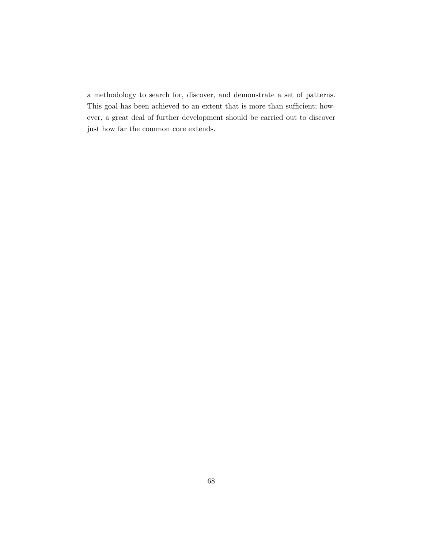a methodology to search for, discover, and demonstrate a set of patterns. This goal has been achieved to an extent that is more than sufficient; however, a great deal of further development should be carried out to discover just how far the common core extends.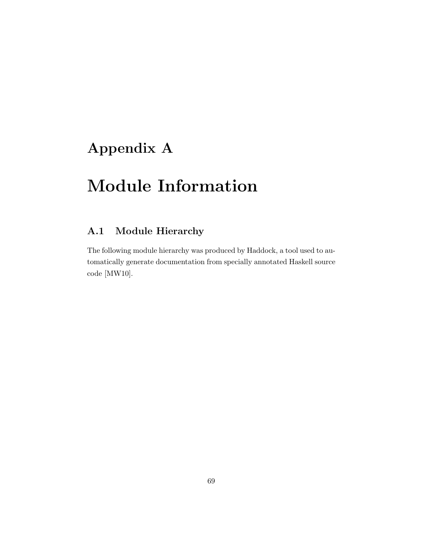## Appendix A

## Module Information

## A.1 Module Hierarchy

The following module hierarchy was produced by Haddock, a tool used to automatically generate documentation from specially annotated Haskell source code [MW10].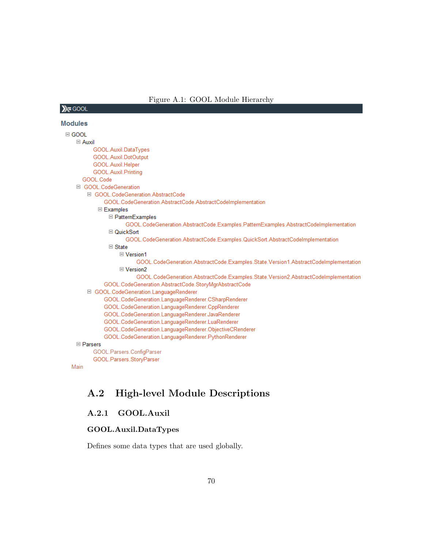#### Figure A.1: GOOL Module Hierarchy

## $X = GOOL$ **Modules**

```
\boxdot GOOL
    \Box Auxil
          GOOL.Auxil.DataTypes
          GOOL.Auxil.DotOutput
          GOOL.Auxil.Helper
          GOOL.Auxil.Printing
      GOOL.Code
    □ GOOL.CodeGeneration
        □ GOOL.CodeGeneration.AbstractCode
              GOOL.CodeGeneration.AbstractCode.AbstractCodeImplementation
            □ Examples
                □ PatternExamples
                      GOOL.CodeGeneration.AbstractCode.Examples.PatternExamples.AbstractCodeImplementation
                □ QuickSort
                      GOOL.CodeGeneration.AbstractCode.Examples.QuickSort.AbstractCodeImplementation
                □ State
                   □ Version1
                          GOOL.CodeGeneration.AbstractCode.Examples.State.Version1.AbstractCodeImplementation
                   □ Version2
                          GOOL.CodeGeneration.AbstractCode.Examples.State.Version2.AbstractCodeImplementation
              GOOL.CodeGeneration.AbstractCode.StoryMgrAbstractCode
        □ GOOL.CodeGeneration.LanguageRenderer
              GOOL.CodeGeneration.LanguageRenderer.CSharpRenderer
              GOOL.CodeGeneration.LanguageRenderer.CppRenderer
              GOOL.CodeGeneration.LanguageRenderer.JavaRenderer
              GOOL.CodeGeneration.LanguageRenderer.LuaRenderer
              GOOL.CodeGeneration.LanguageRenderer.ObjectiveCRenderer
              GOOL.CodeGeneration.LanguageRenderer.PythonRenderer
    \boxminus Parsers
          GOOL.Parsers.ConfigParser
          GOOL.Parsers.StoryParser
```

```
Main
```
## A.2 High-level Module Descriptions

#### A.2.1 GOOL.Auxil

#### GOOL.Auxil.DataTypes

Defines some data types that are used globally.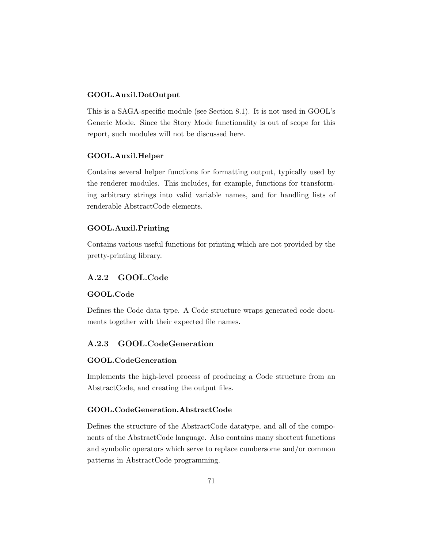### GOOL.Auxil.DotOutput

This is a SAGA-specific module (see Section 8.1). It is not used in GOOL's Generic Mode. Since the Story Mode functionality is out of scope for this report, such modules will not be discussed here.

### GOOL.Auxil.Helper

Contains several helper functions for formatting output, typically used by the renderer modules. This includes, for example, functions for transforming arbitrary strings into valid variable names, and for handling lists of renderable AbstractCode elements.

### GOOL.Auxil.Printing

Contains various useful functions for printing which are not provided by the pretty-printing library.

### A.2.2 GOOL.Code

### GOOL.Code

Defines the Code data type. A Code structure wraps generated code documents together with their expected file names.

### A.2.3 GOOL.CodeGeneration

### GOOL.CodeGeneration

Implements the high-level process of producing a Code structure from an AbstractCode, and creating the output files.

### GOOL.CodeGeneration.AbstractCode

Defines the structure of the AbstractCode datatype, and all of the components of the AbstractCode language. Also contains many shortcut functions and symbolic operators which serve to replace cumbersome and/or common patterns in AbstractCode programming.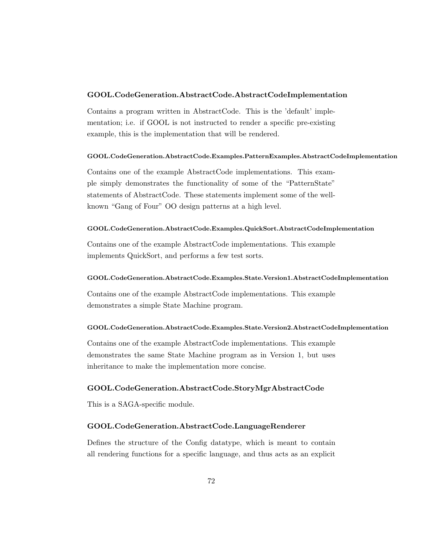### GOOL.CodeGeneration.AbstractCode.AbstractCodeImplementation

Contains a program written in AbstractCode. This is the 'default' implementation; i.e. if GOOL is not instructed to render a specific pre-existing example, this is the implementation that will be rendered.

### GOOL.CodeGeneration.AbstractCode.Examples.PatternExamples.AbstractCodeImplementation

Contains one of the example AbstractCode implementations. This example simply demonstrates the functionality of some of the "PatternState" statements of AbstractCode. These statements implement some of the wellknown "Gang of Four" OO design patterns at a high level.

### GOOL.CodeGeneration.AbstractCode.Examples.QuickSort.AbstractCodeImplementation

Contains one of the example AbstractCode implementations. This example implements QuickSort, and performs a few test sorts.

### GOOL.CodeGeneration.AbstractCode.Examples.State.Version1.AbstractCodeImplementation

Contains one of the example AbstractCode implementations. This example demonstrates a simple State Machine program.

### GOOL.CodeGeneration.AbstractCode.Examples.State.Version2.AbstractCodeImplementation

Contains one of the example AbstractCode implementations. This example demonstrates the same State Machine program as in Version 1, but uses inheritance to make the implementation more concise.

### GOOL.CodeGeneration.AbstractCode.StoryMgrAbstractCode

This is a SAGA-specific module.

### GOOL.CodeGeneration.AbstractCode.LanguageRenderer

Defines the structure of the Config datatype, which is meant to contain all rendering functions for a specific language, and thus acts as an explicit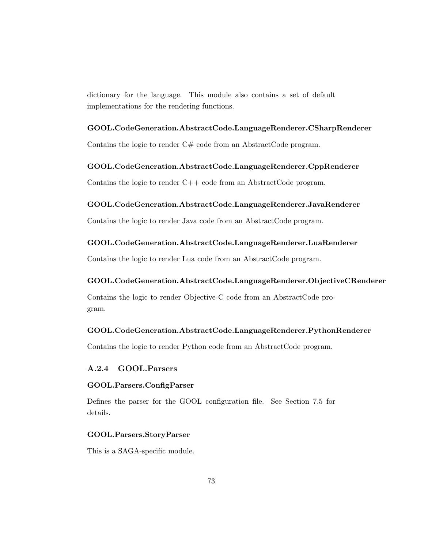dictionary for the language. This module also contains a set of default implementations for the rendering functions.

# GOOL.CodeGeneration.AbstractCode.LanguageRenderer.CSharpRenderer

Contains the logic to render  $C#$  code from an AbstractCode program.

### GOOL.CodeGeneration.AbstractCode.LanguageRenderer.CppRenderer

Contains the logic to render C++ code from an AbstractCode program.

### GOOL.CodeGeneration.AbstractCode.LanguageRenderer.JavaRenderer

Contains the logic to render Java code from an AbstractCode program.

### GOOL.CodeGeneration.AbstractCode.LanguageRenderer.LuaRenderer

Contains the logic to render Lua code from an AbstractCode program.

### GOOL.CodeGeneration.AbstractCode.LanguageRenderer.ObjectiveCRenderer

Contains the logic to render Objective-C code from an AbstractCode program.

### GOOL.CodeGeneration.AbstractCode.LanguageRenderer.PythonRenderer

Contains the logic to render Python code from an AbstractCode program.

### A.2.4 GOOL.Parsers

### GOOL.Parsers.ConfigParser

Defines the parser for the GOOL configuration file. See Section 7.5 for details.

### GOOL.Parsers.StoryParser

This is a SAGA-specific module.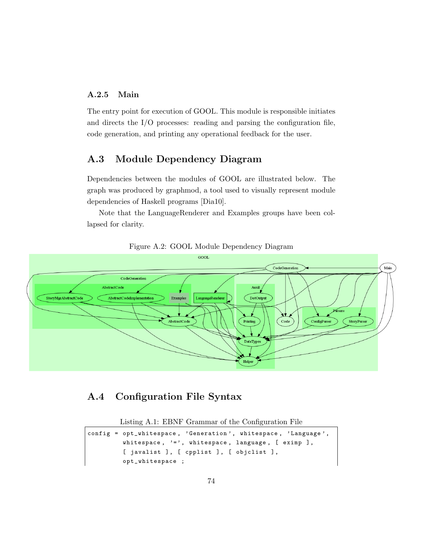### A.2.5 Main

The entry point for execution of GOOL. This module is responsible initiates and directs the I/O processes: reading and parsing the configuration file, code generation, and printing any operational feedback for the user.

## A.3 Module Dependency Diagram

Dependencies between the modules of GOOL are illustrated below. The graph was produced by graphmod, a tool used to visually represent module dependencies of Haskell programs [Dia10].

Note that the LanguageRenderer and Examples groups have been collapsed for clarity.





# A.4 Configuration File Syntax

Listing A.1: EBNF Grammar of the Configuration File

```
config = opt_whitespace, 'Generation', whitespace, 'Language',
         whitespace, ' = ', whitespace, language, [ eximp ],
         [ javalist ], [ cpplist ], [ objclist ],
         opt_whitespace ;
```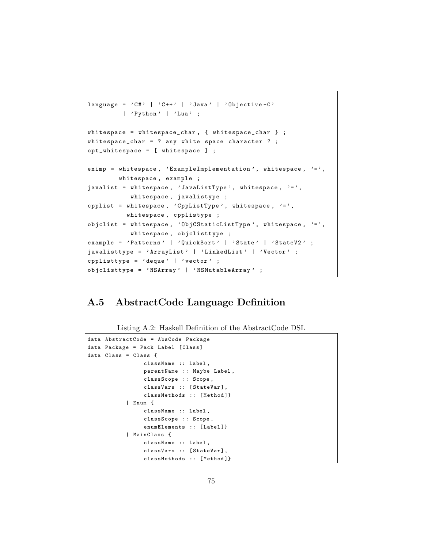```
language = 'C#' | 'C++' | 'Java' | 'Objective-C'
         | 'Python' | 'Lua' ;
whitespace = whitespace_char , { whitespace_char } ;
whitespace_char = ? any white space character ? ;
opt_whitespace = [ whitespace ] ;
eximp = whitespace, 'ExampleImplementation', whitespace, '=',
        whitespace , example ;
javalist = whitespace, 'JavaListType', whitespace, '=',
           whitespace , javalistype ;
cpplist = whitespace, 'CppListType', whitespace, '=',
          whitespace , cpplistype ;
objclist = whitespace, '0bjCStaticListType', whitespace, '=',
           whitespace , objclisttype ;
example = 'Patterns' | 'QuickSort' | 'State' | 'StateV2' ;
javalisttype = 'ArrayList' | 'LinkedList' | 'Vector' ;
cpplisttype = ' deque' | 'vector' ;
objclisttype = ' NSArray ' | ' NSMutableArray ' ;
```
# A.5 AbstractCode Language Definition

Listing A.2: Haskell Definition of the AbstractCode DSL

```
data AbstractCode = AbsCode Package
data Package = Pack Label [ Class ]
data Class = Class {
                className :: Label ,
                 parentName :: Maybe Label ,
                 classScope :: Scope ,
                 classVars :: [StateVar],
                 classMethods :: [Method]}
            | Enum {
                 className :: Label ,
                 classScope :: Scope ,
                 enumElements :: [Label]}
            | MainClass {
                 className :: Label ,
                 classVars :: [StateVar],
                 classMethods :: [Method]}
```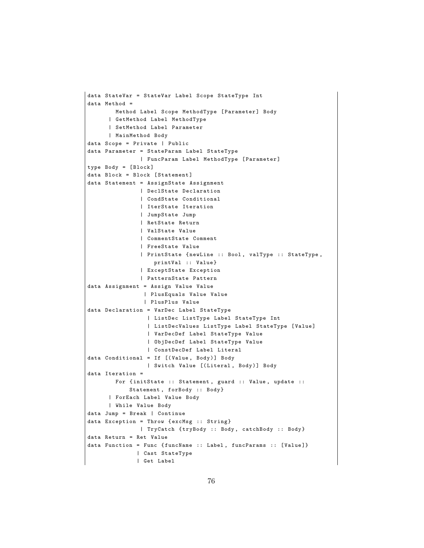```
data StateVar = StateVar Label Scope StateType Int
data Method =
       Method Label Scope MethodType [Parameter] Body
      | GetMethod Label MethodType
      | SetMethod Label Parameter
      | MainMethod Body
data Scope = Private | Public
data Parameter = StateParam Label StateType
               | FuncParam Label MethodType [ Parameter ]
type Body = [ Block ]
data Block = Block [Statement]
data Statement = AssignState Assignment
               | DeclState Declaration
               | CondState Conditional
               | IterState Iteration
               | JumpState Jump
               | RetState Return
               | ValState Value
               | CommentState Comment
               | FreeState Value
               | PrintState { newLine :: Bool , valType :: StateType ,
                   printVal :: Value }
               | ExceptState Exception
               | PatternState Pattern
data Assignment = Assign Value Value
                | PlusEquals Value Value
                | PlusPlus Value
data Declaration = VarDec Label StateType
                 | ListDec ListType Label StateType Int
                 | ListDecValues ListType Label StateType [ Value ]
                 | VarDecDef Label StateType Value
                 | ObjDecDef Label StateType Value
                 | ConstDecDef Label Literal
data Conditional = If [( Value , Body )] Body
                 | Switch Value [( Literal , Body )] Body
data Iteration =
        For {initState :: Statement, guard :: Value, update ::
            Statement, forBody :: Body}
      | ForEach Label Value Body
      | While Value Body
data Jump = Break | Continue
data Exception = Throw {excMsg :: String}
               | TryCatch { tryBody :: Body , catchBody :: Body }
data Return = Ret Value
data Function = Func {funcName :: Label, funcParams :: [Value]}
              | Cast StateType
              | Get Label
```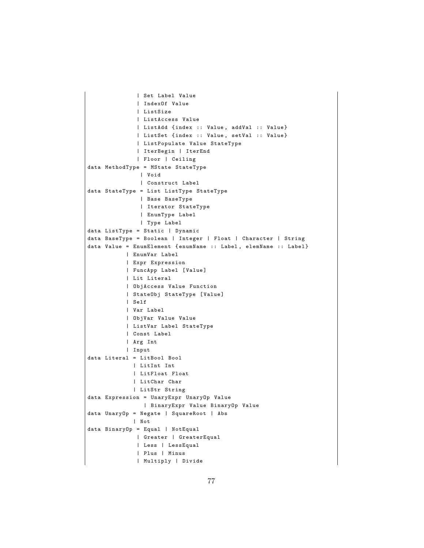```
| Set Label Value
              | IndexOf Value
              | ListSize
              | ListAccess Value
              | ListAdd { index :: Value , addVal :: Value }
              | ListSet { index :: Value , setVal :: Value }
              | ListPopulate Value StateType
              | IterBegin | IterEnd
              | Floor | Ceiling
data MethodType = MState StateType
               | Void
               | Construct Label
data StateType = List ListType StateType
               | Base BaseType
               | Iterator StateType
               | EnumType Label
               | Type Label
data ListType = Static | Dynamic
data BaseType = Boolean | Integer | Float | Character | String
data Value = EnumElement {enumName :: Label, elemName :: Label}
           | EnumVar Label
           | Expr Expression
           | FuncApp Label [ Value ]
           | Lit Literal
           | ObjAccess Value Function
           | StateObj StateType [ Value ]
           | Self
           | Var Label
           | ObjVar Value Value
           | ListVar Label StateType
           | Const Label
           | Arg Int
           | Input
data Literal = LitBool Bool
             | LitInt Int
             | LitFloat Float
             | LitChar Char
             | LitStr String
data Expression = UnaryExpr UnaryOp Value
                | BinaryExpr Value BinaryOp Value
data UnaryOp = Negate | SquareRoot | Abs
             | Not
data BinaryOp = Equal | NotEqual
              | Greater | GreaterEqual
              | Less | LessEqual
              | Plus | Minus
              | Multiply | Divide
```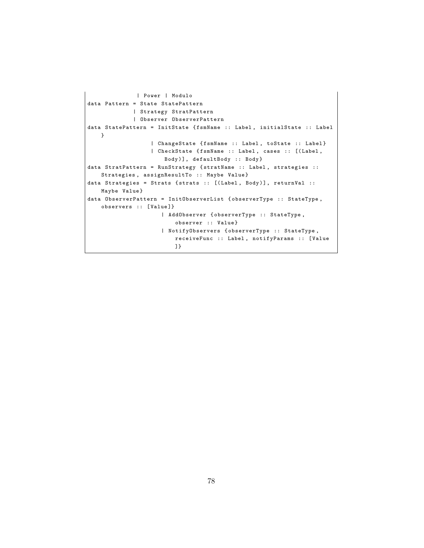```
| Power | Modulo
data Pattern = State StatePattern
             | Strategy StratPattern
             | Observer ObserverPattern
data StatePattern = InitState { fsmName :: Label , initialState :: Label
   }
                  | ChangeState { fsmName :: Label , toState :: Label }
                  | CheckState { fsmName :: Label , cases :: [( Label ,
                      Body )], defaultBody :: Body }
data StratPattern = RunStrategy { stratName :: Label, strategies ::
    Strategies, assignResultTo :: Maybe Value}
data Strategies = Strats { strats :: [(Label, Body)], returnVal ::
    Maybe Value }
data ObserverPattern = InitObserverList { observerType :: StateType ,
    observers :: [Value]}
                      | AddObserver { observerType :: StateType ,
                          observer :: Value }
                      | NotifyObservers { observerType :: StateType ,
                         receiveFunc :: Label , notifyParams :: [ Value
                         ]}
```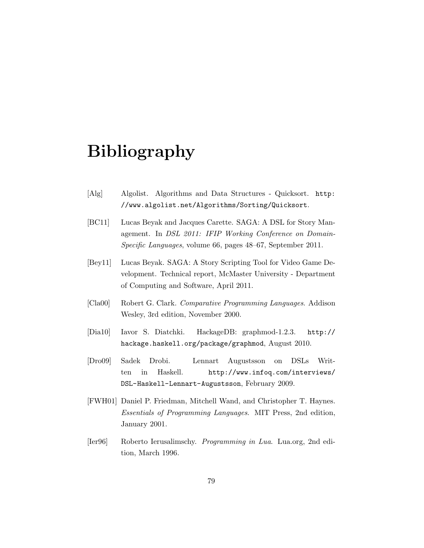# Bibliography

- [Alg] Algolist. Algorithms and Data Structures Quicksort. http: //www.algolist.net/Algorithms/Sorting/Quicksort.
- [BC11] Lucas Beyak and Jacques Carette. SAGA: A DSL for Story Management. In DSL 2011: IFIP Working Conference on Domain-Specific Languages, volume 66, pages 48–67, September 2011.
- [Bey11] Lucas Beyak. SAGA: A Story Scripting Tool for Video Game Development. Technical report, McMaster University - Department of Computing and Software, April 2011.
- [Cla00] Robert G. Clark. Comparative Programming Languages. Addison Wesley, 3rd edition, November 2000.
- [Dia10] Iavor S. Diatchki. HackageDB: graphmod-1.2.3. http:// hackage.haskell.org/package/graphmod, August 2010.
- [Dro09] Sadek Drobi. Lennart Augustsson on DSLs Written in Haskell. http://www.infoq.com/interviews/ DSL-Haskell-Lennart-Augustsson, February 2009.
- [FWH01] Daniel P. Friedman, Mitchell Wand, and Christopher T. Haynes. Essentials of Programming Languages. MIT Press, 2nd edition, January 2001.
- [Ier96] Roberto Ierusalimschy. Programming in Lua. Lua.org, 2nd edition, March 1996.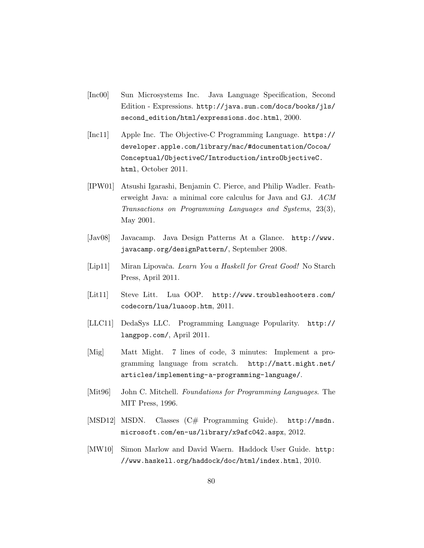- [Inc00] Sun Microsystems Inc. Java Language Specification, Second Edition - Expressions. http://java.sun.com/docs/books/jls/ second\_edition/html/expressions.doc.html, 2000.
- [Inc11] Apple Inc. The Objective-C Programming Language. https:// developer.apple.com/library/mac/#documentation/Cocoa/ Conceptual/ObjectiveC/Introduction/introObjectiveC. html, October 2011.
- [IPW01] Atsushi Igarashi, Benjamin C. Pierce, and Philip Wadler. Featherweight Java: a minimal core calculus for Java and GJ. ACM Transactions on Programming Languages and Systems, 23(3), May 2001.
- [Jav08] Javacamp. Java Design Patterns At a Glance. http://www. javacamp.org/designPattern/, September 2008.
- [Lip11] Miran Lipovača. Learn You a Haskell for Great Good! No Starch Press, April 2011.
- [Lit11] Steve Litt. Lua OOP. http://www.troubleshooters.com/ codecorn/lua/luaoop.htm, 2011.
- [LLC11] DedaSys LLC. Programming Language Popularity. http:// langpop.com/, April 2011.
- [Mig] Matt Might. 7 lines of code, 3 minutes: Implement a programming language from scratch. http://matt.might.net/ articles/implementing-a-programming-language/.
- [Mit96] John C. Mitchell. Foundations for Programming Languages. The MIT Press, 1996.
- [MSD12] MSDN. Classes (C# Programming Guide). http://msdn. microsoft.com/en-us/library/x9afc042.aspx, 2012.
- [MW10] Simon Marlow and David Waern. Haddock User Guide. http: //www.haskell.org/haddock/doc/html/index.html, 2010.